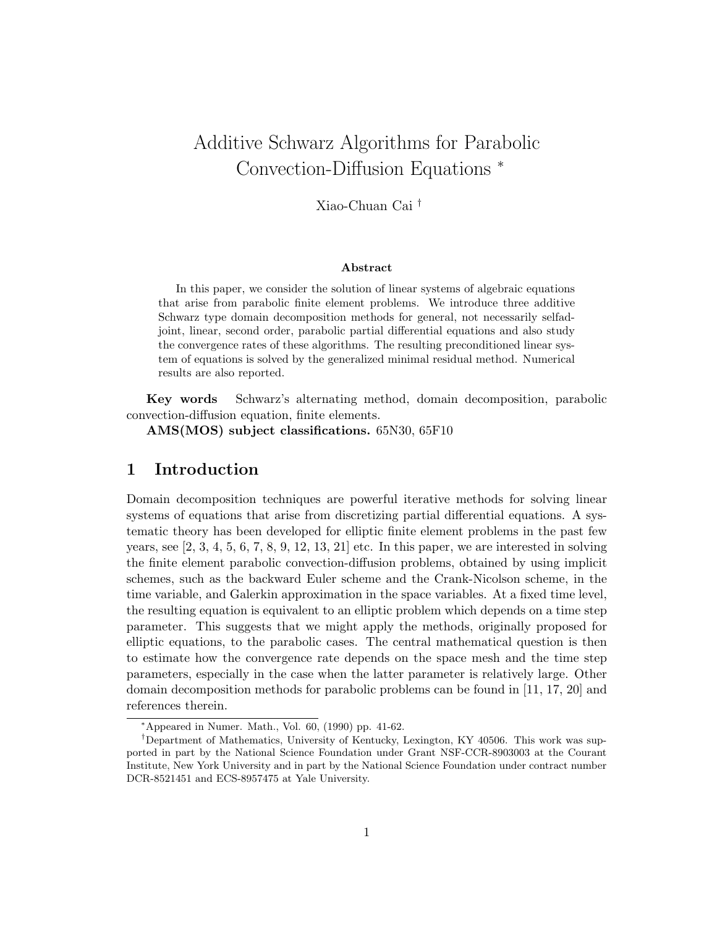# Additive Schwarz Algorithms for Parabolic Convection-Diffusion Equations <sup>∗</sup>

Xiao-Chuan Cai †

#### Abstract

In this paper, we consider the solution of linear systems of algebraic equations that arise from parabolic finite element problems. We introduce three additive Schwarz type domain decomposition methods for general, not necessarily selfadjoint, linear, second order, parabolic partial differential equations and also study the convergence rates of these algorithms. The resulting preconditioned linear system of equations is solved by the generalized minimal residual method. Numerical results are also reported.

Key words Schwarz's alternating method, domain decomposition, parabolic convection-diffusion equation, finite elements.

AMS(MOS) subject classifications. 65N30, 65F10

## 1 Introduction

Domain decomposition techniques are powerful iterative methods for solving linear systems of equations that arise from discretizing partial differential equations. A systematic theory has been developed for elliptic finite element problems in the past few years, see  $[2, 3, 4, 5, 6, 7, 8, 9, 12, 13, 21]$  etc. In this paper, we are interested in solving the finite element parabolic convection-diffusion problems, obtained by using implicit schemes, such as the backward Euler scheme and the Crank-Nicolson scheme, in the time variable, and Galerkin approximation in the space variables. At a fixed time level, the resulting equation is equivalent to an elliptic problem which depends on a time step parameter. This suggests that we might apply the methods, originally proposed for elliptic equations, to the parabolic cases. The central mathematical question is then to estimate how the convergence rate depends on the space mesh and the time step parameters, especially in the case when the latter parameter is relatively large. Other domain decomposition methods for parabolic problems can be found in [11, 17, 20] and references therein.

<sup>∗</sup>Appeared in Numer. Math., Vol. 60, (1990) pp. 41-62.

<sup>†</sup>Department of Mathematics, University of Kentucky, Lexington, KY 40506. This work was supported in part by the National Science Foundation under Grant NSF-CCR-8903003 at the Courant Institute, New York University and in part by the National Science Foundation under contract number DCR-8521451 and ECS-8957475 at Yale University.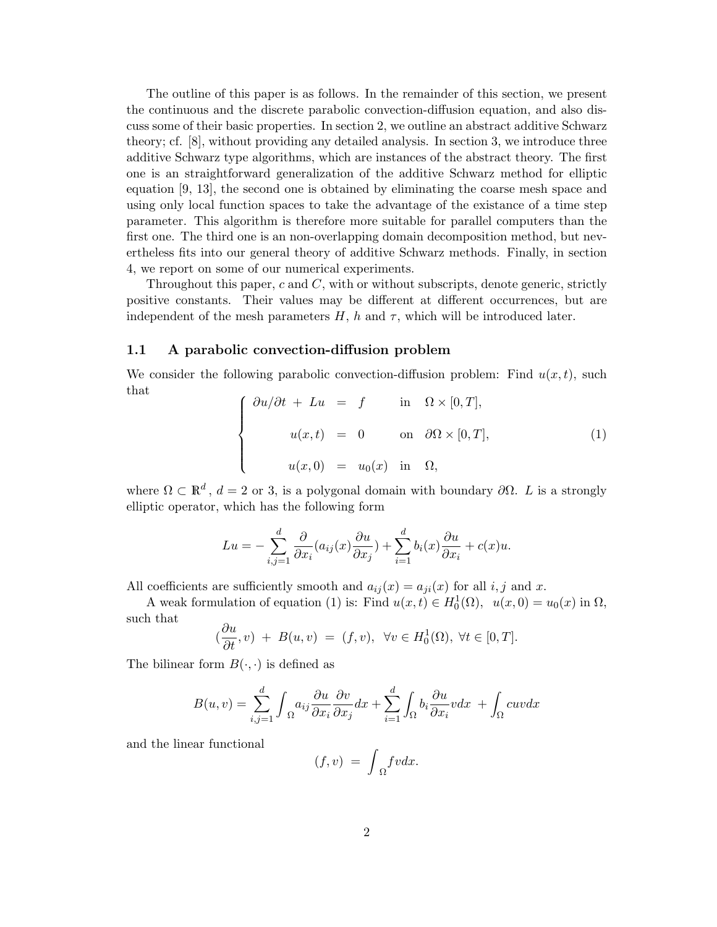The outline of this paper is as follows. In the remainder of this section, we present the continuous and the discrete parabolic convection-diffusion equation, and also discuss some of their basic properties. In section 2, we outline an abstract additive Schwarz theory; cf. [8], without providing any detailed analysis. In section 3, we introduce three additive Schwarz type algorithms, which are instances of the abstract theory. The first one is an straightforward generalization of the additive Schwarz method for elliptic equation [9, 13], the second one is obtained by eliminating the coarse mesh space and using only local function spaces to take the advantage of the existance of a time step parameter. This algorithm is therefore more suitable for parallel computers than the first one. The third one is an non-overlapping domain decomposition method, but nevertheless fits into our general theory of additive Schwarz methods. Finally, in section 4, we report on some of our numerical experiments.

Throughout this paper,  $c$  and  $C$ , with or without subscripts, denote generic, strictly positive constants. Their values may be different at different occurrences, but are independent of the mesh parameters  $H$ , h and  $\tau$ , which will be introduced later.

### 1.1 A parabolic convection-diffusion problem

We consider the following parabolic convection-diffusion problem: Find  $u(x, t)$ , such that  $\overline{a}$ 

$$
\begin{cases}\n\frac{\partial u}{\partial t} + Lu = f & \text{in } \Omega \times [0, T], \\
u(x, t) = 0 & \text{on } \partial \Omega \times [0, T], \\
u(x, 0) = u_0(x) & \text{in } \Omega,\n\end{cases}
$$
\n(1)

where  $\Omega \subset \mathbb{R}^d$ ,  $d = 2$  or 3, is a polygonal domain with boundary  $\partial \Omega$ . L is a strongly elliptic operator, which has the following form

$$
Lu = -\sum_{i,j=1}^{d} \frac{\partial}{\partial x_i} (a_{ij}(x) \frac{\partial u}{\partial x_j}) + \sum_{i=1}^{d} b_i(x) \frac{\partial u}{\partial x_i} + c(x)u.
$$

All coefficients are sufficiently smooth and  $a_{ij}(x) = a_{ji}(x)$  for all i, j and x.

A weak formulation of equation (1) is: Find  $u(x,t) \in H_0^1(\Omega)$ ,  $u(x,0) = u_0(x)$  in  $\Omega$ , such that ∂u

$$
(\frac{\partial u}{\partial t}, v) + B(u, v) = (f, v), \ \forall v \in H_0^1(\Omega), \ \forall t \in [0, T].
$$

The bilinear form  $B(\cdot, \cdot)$  is defined as

$$
B(u, v) = \sum_{i,j=1}^{d} \int_{\Omega} a_{ij} \frac{\partial u}{\partial x_i} \frac{\partial v}{\partial x_j} dx + \sum_{i=1}^{d} \int_{\Omega} b_i \frac{\partial u}{\partial x_i} v dx + \int_{\Omega} cuv dx
$$

and the linear functional

$$
(f,v) = \int_{\Omega} fv dx.
$$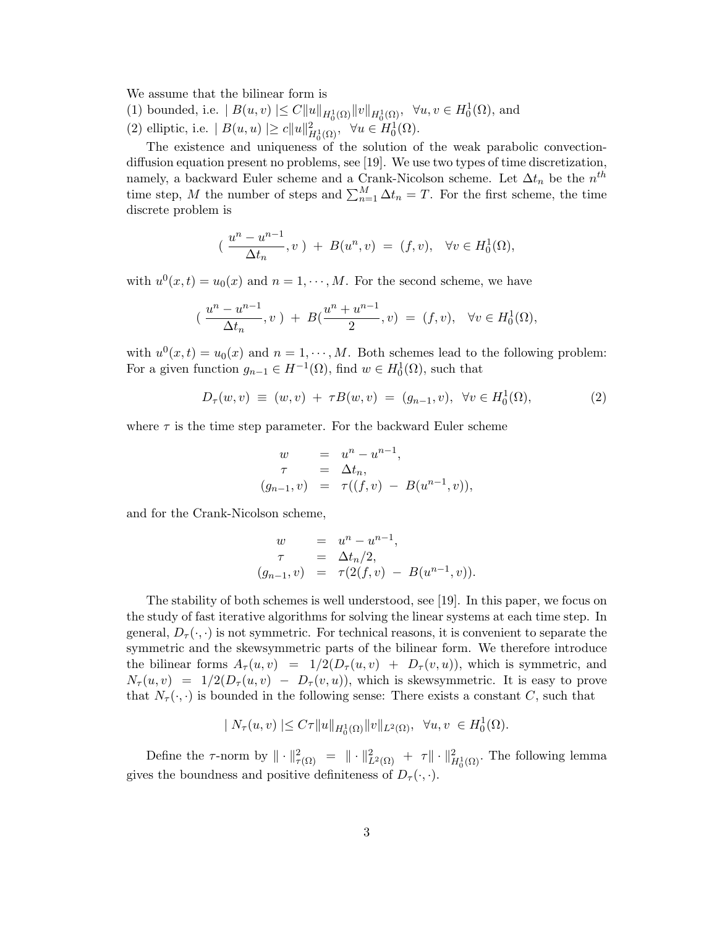We assume that the bilinear form is

- (1) bounded, i.e.  $|B(u, v)| \leq C ||u||_{H_0^1(\Omega)} ||v||_{H_0^1(\Omega)}, \forall u, v \in H_0^1(\Omega)$ , and
- (2) elliptic, i.e.  $|B(u, u)| \ge c ||u||_{H_0^1(\Omega)}^2$ ,  $\forall u \in H_0^1(\Omega)$ .

The existence and uniqueness of the solution of the weak parabolic convectiondiffusion equation present no problems, see [19]. We use two types of time discretization, namely, a backward Euler scheme and a Crank-Nicolson scheme. Let  $\Delta t_n$  be the  $n^{th}$ time step, M the number of steps and  $\sum_{n=1}^{M} \Delta t_n = T$ . For the first scheme, the time discrete problem is

$$
(\frac{u^{n}-u^{n-1}}{\Delta t_{n}},v)+B(u^{n},v)=(f,v),\ \forall v\in H_{0}^{1}(\Omega),
$$

with  $u^0(x,t) = u_0(x)$  and  $n = 1, \dots, M$ . For the second scheme, we have

$$
(\frac{u^{n}-u^{n-1}}{\Delta t_{n}},v)+B(\frac{u^{n}+u^{n-1}}{2},v)=(f,v),\ \forall v\in H_{0}^{1}(\Omega),
$$

with  $u^0(x,t) = u_0(x)$  and  $n = 1, \dots, M$ . Both schemes lead to the following problem: For a given function  $g_{n-1} \in H^{-1}(\Omega)$ , find  $w \in H_0^1(\Omega)$ , such that

$$
D_{\tau}(w,v) \equiv (w,v) + \tau B(w,v) = (g_{n-1},v), \ \forall v \in H_0^1(\Omega), \tag{2}
$$

where  $\tau$  is the time step parameter. For the backward Euler scheme

$$
w = u^{n} - u^{n-1},
$$
  
\n
$$
\tau = \Delta t_{n},
$$
  
\n
$$
(g_{n-1}, v) = \tau((f, v) - B(u^{n-1}, v)),
$$

and for the Crank-Nicolson scheme,

$$
w = u^{n} - u^{n-1},
$$
  
\n
$$
\tau = \Delta t_{n}/2,
$$
  
\n
$$
(g_{n-1}, v) = \tau(2(f, v) - B(u^{n-1}, v)).
$$

The stability of both schemes is well understood, see [19]. In this paper, we focus on the study of fast iterative algorithms for solving the linear systems at each time step. In general,  $D_{\tau}(\cdot,\cdot)$  is not symmetric. For technical reasons, it is convenient to separate the symmetric and the skewsymmetric parts of the bilinear form. We therefore introduce the bilinear forms  $A_{\tau}(u, v) = 1/2(D_{\tau}(u, v) + D_{\tau}(v, u))$ , which is symmetric, and  $N_{\tau}(u, v) = 1/2(D_{\tau}(u, v) - D_{\tau}(v, u))$ , which is skewsymmetric. It is easy to prove that  $N_{\tau}(\cdot, \cdot)$  is bounded in the following sense: There exists a constant C, such that

$$
| N_{\tau}(u,v) | \leq C\tau ||u||_{H_0^1(\Omega)} ||v||_{L^2(\Omega)}, \ \forall u,v \ \in H_0^1(\Omega).
$$

Define the  $\tau$ -norm by  $\|\cdot\|_{\tau(\Omega)}^2 = \|\cdot\|_{L^2(\Omega)}^2 + \tau \|\cdot\|_{H_0^1(\Omega)}^2$ . The following lemma gives the boundness and positive definiteness of  $D_{\tau}(\cdot,\cdot)$ .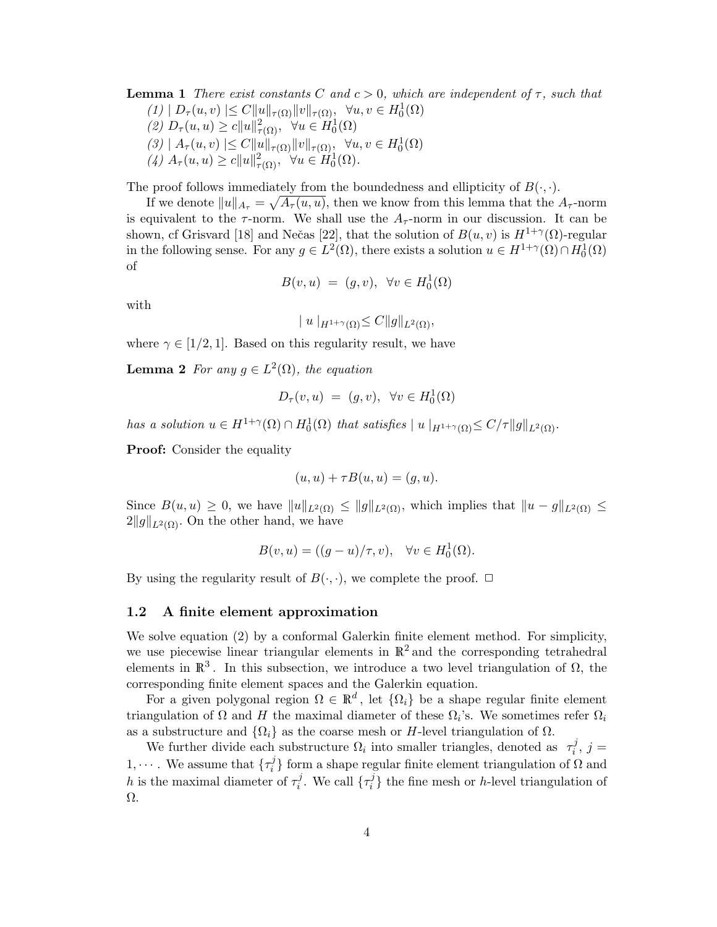**Lemma 1** There exist constants C and  $c > 0$ , which are independent of  $\tau$ , such that  $(1) | D_\tau(u, v) | \leq C ||u||_{\tau(\Omega)} ||v||_{\tau(\Omega)}, \forall u, v \in H_0^1(\Omega)$ (2)  $D_{\tau}(u, u) \geq c||u||^2_{\tau(\Omega)}, \forall u \in H_0^1(\Omega)$  $(3) | A_\tau(u, v)| \leq C ||u||_{\tau(\Omega)} ||v||_{\tau(\Omega)}, \forall u, v \in H_0^1(\Omega)$ (4)  $A_{\tau}(u, u) \geq c||u||^2_{\tau(\Omega)}, \forall u \in H_0^1(\Omega).$ 

The proof follows immediately from the boundedness and ellipticity of  $B(\cdot, \cdot)$ .

If we denote  $||u||_{A_{\tau}} = \sqrt{A_{\tau}(u, u)}$ , then we know from this lemma that the  $A_{\tau}$ -norm is equivalent to the  $\tau$ -norm. We shall use the  $A_{\tau}$ -norm in our discussion. It can be shown, cf Grisvard [18] and Nečas [22], that the solution of  $B(u, v)$  is  $H^{1+\gamma}(\Omega)$ -regular in the following sense. For any  $g \in L^2(\Omega)$ , there exists a solution  $u \in H^{1+\gamma}(\Omega) \cap H_0^1(\Omega)$ of

$$
B(v, u) = (g, v), \ \forall v \in H_0^1(\Omega)
$$

with

$$
|u|_{H^{1+\gamma}(\Omega)} \leq C ||g||_{L^2(\Omega)},
$$

where  $\gamma \in [1/2, 1]$ . Based on this regularity result, we have

**Lemma 2** For any  $g \in L^2(\Omega)$ , the equation

$$
D_{\tau}(v, u) = (g, v), \ \forall v \in H_0^1(\Omega)
$$

has a solution  $u \in H^{1+\gamma}(\Omega) \cap H_0^1(\Omega)$  that satisfies  $||u||_{H^{1+\gamma}(\Omega)} \leq C/\tau ||g||_{L^2(\Omega)}$ .

**Proof:** Consider the equality

$$
(u, u) + \tau B(u, u) = (g, u).
$$

Since  $B(u, u) \geq 0$ , we have  $||u||_{L^2(\Omega)} \leq ||g||_{L^2(\Omega)}$ , which implies that  $||u - g||_{L^2(\Omega)} \leq$  $2||g||_{L^2(\Omega)}$ . On the other hand, we have

$$
B(v, u) = ((g - u)/\tau, v), \quad \forall v \in H_0^1(\Omega).
$$

By using the regularity result of  $B(\cdot, \cdot)$ , we complete the proof.  $\Box$ 

### 1.2 A finite element approximation

We solve equation (2) by a conformal Galerkin finite element method. For simplicity, we use piecewise linear triangular elements in  $\mathbb{R}^2$  and the corresponding tetrahedral elements in  $\mathbb{R}^3$ . In this subsection, we introduce a two level triangulation of  $\Omega$ , the corresponding finite element spaces and the Galerkin equation.

For a given polygonal region  $\Omega \in \mathbb{R}^d$ , let  $\{\Omega_i\}$  be a shape regular finite element triangulation of  $\Omega$  and H the maximal diameter of these  $\Omega_i$ 's. We sometimes refer  $\Omega_i$ as a substructure and  $\{\Omega_i\}$  as the coarse mesh or H-level triangulation of  $\Omega$ .

We further divide each substructure  $\Omega_i$  into smaller triangles, denoted as  $\tau_i^j$  $j, j =$  $1, \cdots$ . We assume that  $\{\tau_i^j\}$  $\binom{J}{i}$  form a shape regular finite element triangulation of  $\Omega$  and h is the maximal diameter of  $\tau_i^j$  $i$ . We call  $\{\tau_i^j\}$  $i$ <sup>1</sup>/<sub>i</sub>} the fine mesh or *h*-level triangulation of Ω.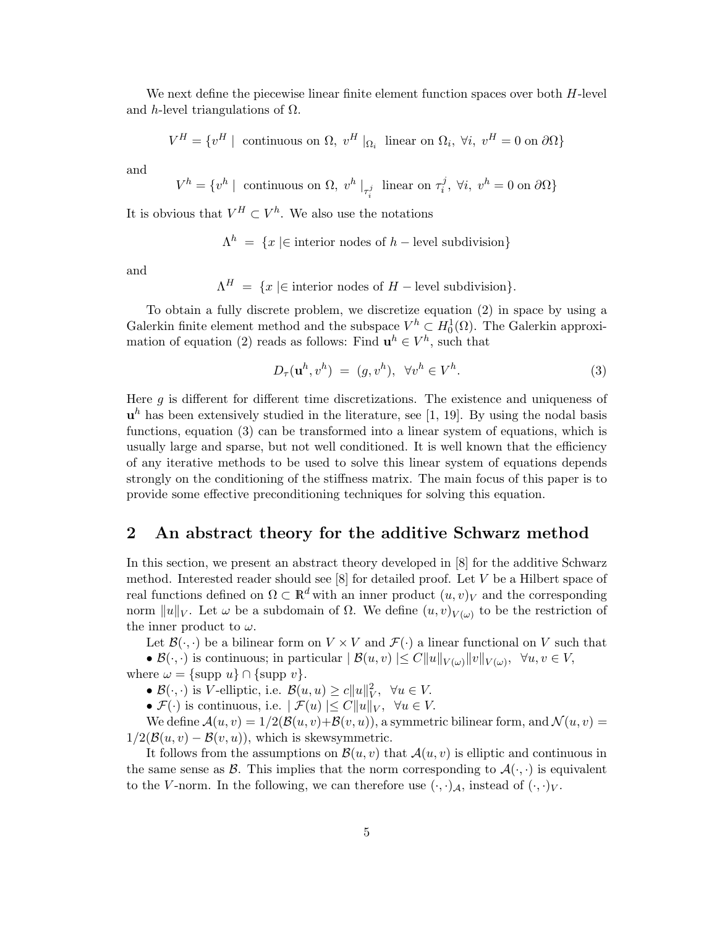We next define the piecewise linear finite element function spaces over both  $H$ -level and h-level triangulations of  $\Omega$ .

$$
V^H = \{v^H \mid \text{ continuous on } \Omega, v^H |_{\Omega_i} \text{ linear on } \Omega_i, \forall i, v^H = 0 \text{ on } \partial\Omega\}
$$

and

$$
V^h = \{v^h \mid \text{ continuous on } \Omega, v^h \mid_{\tau_i^j} \text{ linear on } \tau_i^j, \ \forall i, \ v^h = 0 \text{ on } \partial \Omega\}
$$

It is obvious that  $V^H \subset V^h$ . We also use the notations

$$
\Lambda^h = \{x \mid \in \text{interior nodes of } h - \text{level subdivision}\}
$$

and

 $\Lambda^H = \{x \in \text{interior nodes of } H - \text{level subdivision}\}.$ 

To obtain a fully discrete problem, we discretize equation (2) in space by using a Galerkin finite element method and the subspace  $V^h \subset H_0^1(\Omega)$ . The Galerkin approximation of equation (2) reads as follows: Find  $\mathbf{u}^{h} \in V^{h}$ , such that

$$
D_{\tau}(\mathbf{u}^h, v^h) = (g, v^h), \ \forall v^h \in V^h.
$$
 (3)

Here  $g$  is different for different time discretizations. The existence and uniqueness of  $\mathbf{u}^h$  has been extensively studied in the literature, see [1, 19]. By using the nodal basis functions, equation (3) can be transformed into a linear system of equations, which is usually large and sparse, but not well conditioned. It is well known that the efficiency of any iterative methods to be used to solve this linear system of equations depends strongly on the conditioning of the stiffness matrix. The main focus of this paper is to provide some effective preconditioning techniques for solving this equation.

### 2 An abstract theory for the additive Schwarz method

In this section, we present an abstract theory developed in [8] for the additive Schwarz method. Interested reader should see  $[8]$  for detailed proof. Let V be a Hilbert space of real functions defined on  $\Omega \subset \mathbb{R}^d$  with an inner product  $(u, v)_V$  and the corresponding norm  $||u||_V$ . Let  $\omega$  be a subdomain of  $\Omega$ . We define  $(u, v)_{V(\omega)}$  to be the restriction of the inner product to  $\omega$ .

Let  $\mathcal{B}(\cdot, \cdot)$  be a bilinear form on  $V \times V$  and  $\mathcal{F}(\cdot)$  a linear functional on V such that •  $\mathcal{B}(\cdot,\cdot)$  is continuous; in particular  $|\mathcal{B}(u,v)| \leq C ||u||_{V(\omega)} ||v||_{V(\omega)}, \ \forall u, v \in V$ ,

where  $\omega = {\text{supp } u} \cap {\text{supp } v}.$ 

•  $\mathcal{B}(\cdot, \cdot)$  is V-elliptic, i.e.  $\mathcal{B}(u, u) \ge c \|u\|_{V}^{2}$ ,  $\forall u \in V$ .

•  $\mathcal{F}(\cdot)$  is continuous, i.e.  $|\mathcal{F}(u)| \leq C ||u||_V$ ,  $\forall u \in V$ .

We define  $\mathcal{A}(u, v) = 1/2(\mathcal{B}(u, v)+\mathcal{B}(v, u))$ , a symmetric bilinear form, and  $\mathcal{N}(u, v) =$  $1/2(\mathcal{B}(u, v) - \mathcal{B}(v, u))$ , which is skewsymmetric.

It follows from the assumptions on  $\mathcal{B}(u, v)$  that  $\mathcal{A}(u, v)$  is elliptic and continuous in the same sense as  $\mathcal{B}$ . This implies that the norm corresponding to  $\mathcal{A}(\cdot, \cdot)$  is equivalent to the V-norm. In the following, we can therefore use  $(\cdot, \cdot)_{\mathcal{A}}$ , instead of  $(\cdot, \cdot)_{V}$ .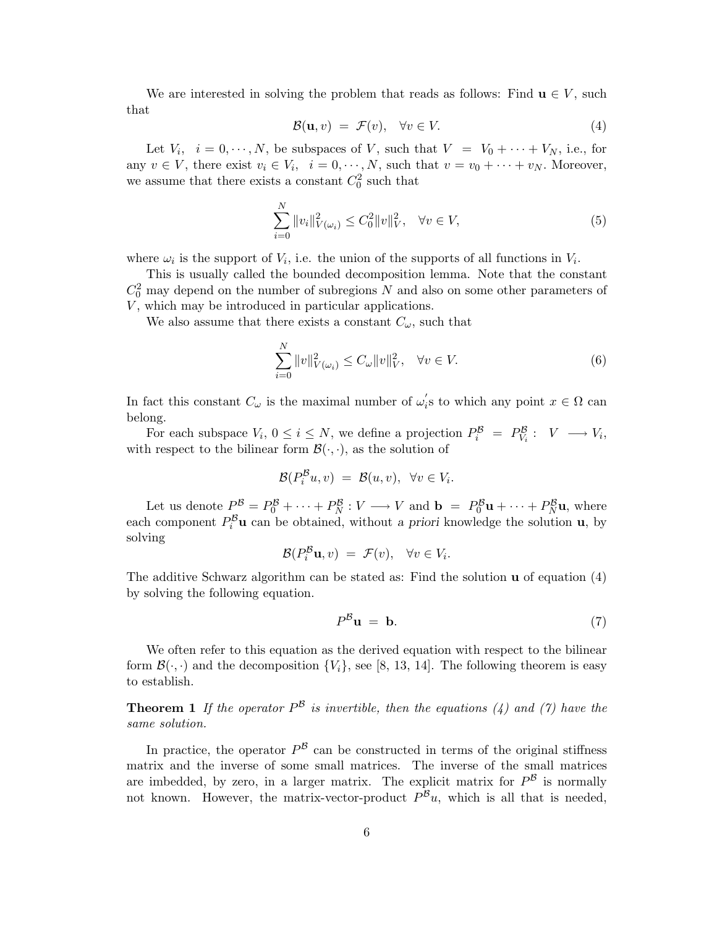We are interested in solving the problem that reads as follows: Find  $\mathbf{u} \in V$ , such that

$$
\mathcal{B}(\mathbf{u}, v) = \mathcal{F}(v), \quad \forall v \in V. \tag{4}
$$

Let  $V_i$ ,  $i = 0, \dots, N$ , be subspaces of V, such that  $V = V_0 + \dots + V_N$ , i.e., for any  $v \in V$ , there exist  $v_i \in V_i$ ,  $i = 0, \dots, N$ , such that  $v = v_0 + \dots + v_N$ . Moreover, we assume that there exists a constant  $C_0^2$  such that

$$
\sum_{i=0}^{N} \|v_i\|_{V(\omega_i)}^2 \le C_0^2 \|v\|_V^2, \quad \forall v \in V,
$$
\n(5)

where  $\omega_i$  is the support of  $V_i$ , i.e. the union of the supports of all functions in  $V_i$ .

This is usually called the bounded decomposition lemma. Note that the constant  $C_0^2$  may depend on the number of subregions N and also on some other parameters of  $V$ , which may be introduced in particular applications.

We also assume that there exists a constant  $C_{\omega}$ , such that

$$
\sum_{i=0}^{N} \|v\|_{V(\omega_i)}^2 \le C_{\omega} \|v\|_V^2, \quad \forall v \in V.
$$
 (6)

In fact this constant  $C_{\omega}$  is the maximal number of  $\omega'_{i}$  $s_i$ 's to which any point  $x \in \Omega$  can belong.

For each subspace  $V_i$ ,  $0 \le i \le N$ , we define a projection  $P_i^{\mathcal{B}} = P_{V_i}^{\mathcal{B}} : V \longrightarrow V_i$ , with respect to the bilinear form  $\mathcal{B}(\cdot, \cdot)$ , as the solution of

$$
\mathcal{B}(P_i^{\mathcal{B}} u, v) = \mathcal{B}(u, v), \ \forall v \in V_i.
$$

Let us denote  $P_0^B = P_0^B + \cdots + P_N^B : V \longrightarrow V$  and  $\mathbf{b} = P_0^B \mathbf{u} + \cdots + P_N^B \mathbf{u}$ , where each component  $P_i^{\mathcal{B}}$ **u** can be obtained, without a priori knowledge the solution **u**, by solving

$$
\mathcal{B}(P_i^{\mathcal{B}}\mathbf{u},v) = \mathcal{F}(v), \quad \forall v \in V_i.
$$

The additive Schwarz algorithm can be stated as: Find the solution  $\bf{u}$  of equation (4) by solving the following equation.

$$
P^{\mathcal{B}}\mathbf{u} = \mathbf{b}.\tag{7}
$$

We often refer to this equation as the derived equation with respect to the bilinear form  $\mathcal{B}(\cdot, \cdot)$  and the decomposition  $\{V_i\}$ , see [8, 13, 14]. The following theorem is easy to establish.

**Theorem 1** If the operator  $P^{\mathcal{B}}$  is invertible, then the equations (4) and (7) have the same solution.

In practice, the operator  $P^{\mathcal{B}}$  can be constructed in terms of the original stiffness matrix and the inverse of some small matrices. The inverse of the small matrices are imbedded, by zero, in a larger matrix. The explicit matrix for  $P^{\mathcal{B}}$  is normally not known. However, the matrix-vector-product  $P^{\mathcal{B}}u$ , which is all that is needed,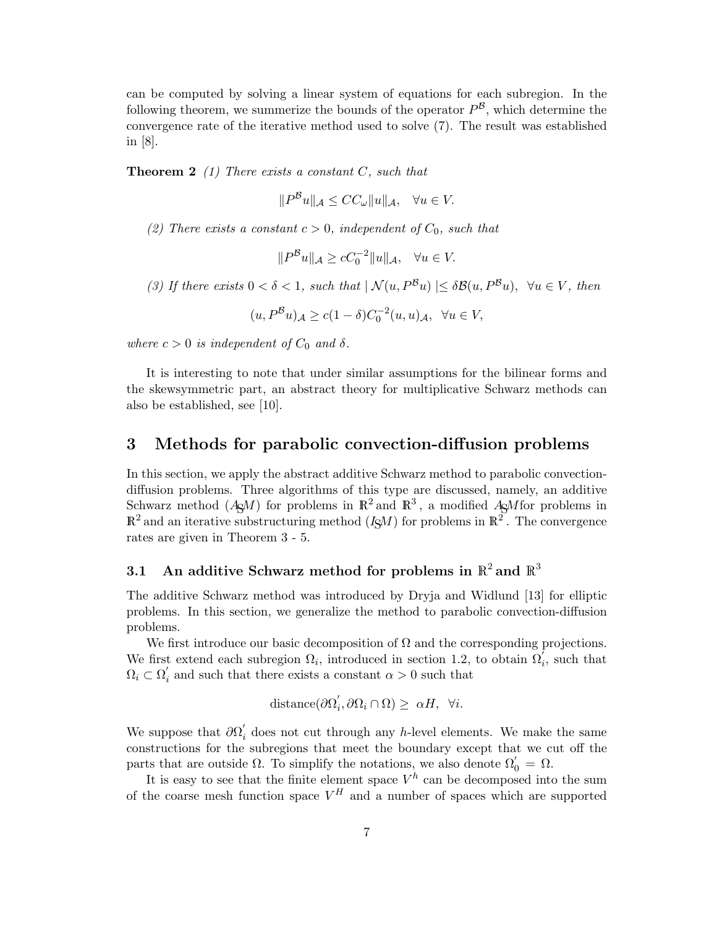can be computed by solving a linear system of equations for each subregion. In the following theorem, we summerize the bounds of the operator  $P^{\mathcal{B}}$ , which determine the convergence rate of the iterative method used to solve (7). The result was established in [8].

**Theorem 2** (1) There exists a constant  $C$ , such that

$$
||P^{\mathcal{B}}u||_{\mathcal{A}} \le CC_{\omega}||u||_{\mathcal{A}}, \quad \forall u \in V.
$$

(2) There exists a constant  $c > 0$ , independent of  $C_0$ , such that

$$
||P^{\mathcal{B}}u||_{\mathcal{A}} \ge cC_0^{-2}||u||_{\mathcal{A}}, \quad \forall u \in V.
$$

(3) If there exists  $0 < \delta < 1$ , such that  $| \mathcal{N}(u, P^B u) | \leq \delta \mathcal{B}(u, P^B u)$ ,  $\forall u \in V$ , then

$$
(u, P^{\mathcal{B}}u)_{\mathcal{A}} \ge c(1-\delta)C_0^{-2}(u, u)_{\mathcal{A}}, \ \ \forall u \in V,
$$

where  $c > 0$  is independent of  $C_0$  and  $\delta$ .

It is interesting to note that under similar assumptions for the bilinear forms and the skewsymmetric part, an abstract theory for multiplicative Schwarz methods can also be established, see [10].

### 3 Methods for parabolic convection-diffusion problems

In this section, we apply the abstract additive Schwarz method to parabolic convectiondiffusion problems. Three algorithms of this type are discussed, namely, an additive Schwarz method  $(A \square M)$  for problems in  $\mathbb{R}^2$  and  $\mathbb{R}^3$ , a modified  $A \square M$  for problems in  $\mathbb{R}^2$  and an iterative substructuring method  $(I\mathcal{S}M)$  for problems in  $\mathbb{R}^2$ . The convergence rates are given in Theorem 3 - 5.

# 3.1 An additive Schwarz method for problems in  $\mathbb{R}^2$  and  $\mathbb{R}^3$

The additive Schwarz method was introduced by Dryja and Widlund [13] for elliptic problems. In this section, we generalize the method to parabolic convection-diffusion problems.

We first introduce our basic decomposition of  $\Omega$  and the corresponding projections. We first extend each subregion  $\Omega_i$ , introduced in section 1.2, to obtain  $\Omega_i^{\tilde{i}}$ , such that  $\Omega_i \subset \overline{\Omega}'_i$  $i_{i}$  and such that there exists a constant  $\alpha > 0$  such that

$$
distance(\partial \Omega_i', \partial \Omega_i \cap \Omega) \geq \alpha H, \ \forall i.
$$

We suppose that  $\partial\Omega_i'$  does not cut through any h-level elements. We make the same constructions for the subregions that meet the boundary except that we cut off the parts that are outside  $\Omega$ . To simplify the notations, we also denote  $\Omega'_{0} = \Omega$ .

It is easy to see that the finite element space  $V^h$  can be decomposed into the sum of the coarse mesh function space  $V^H$  and a number of spaces which are supported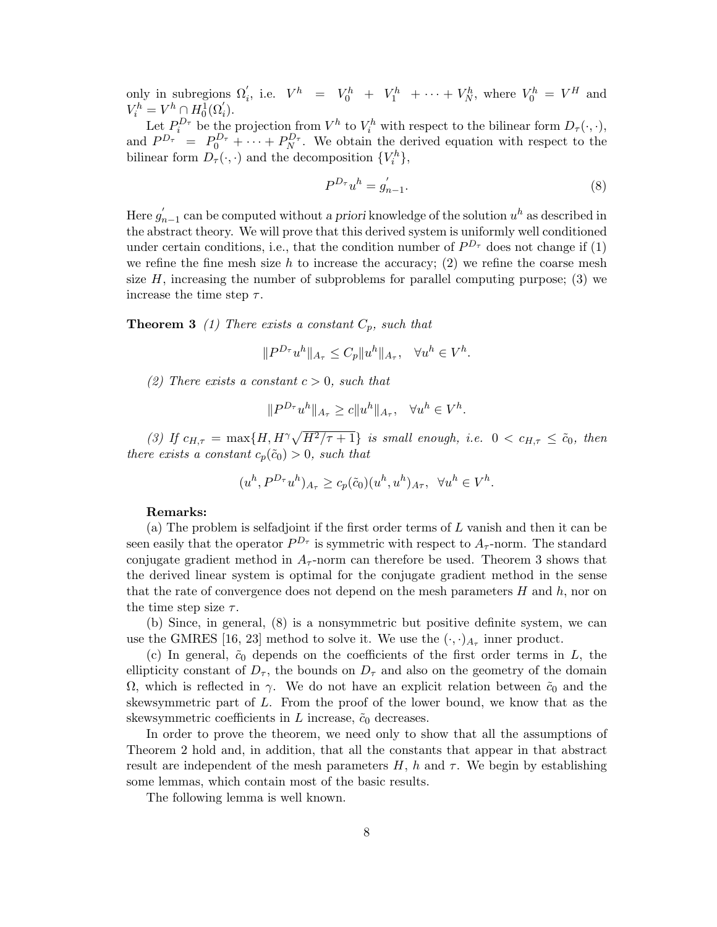only in subregions  $\Omega'_i$ , i.e.  $V^h = V_0^h + V_1^h + \cdots + V_N^h$ , where  $V_0^h = V^H$  and  $V_i^h = V^h \cap H_0^{\overline{1}}(\Omega'_i).$ 

Let  $P_i^{D_{\tau}}$  be the projection from  $V^h$  to  $V_i^h$  with respect to the bilinear form  $D_{\tau}(\cdot, \cdot)$ , and  $P^{D_{\tau}} = P_0^{D_{\tau}} + \cdots + P_N^{D_{\tau}}$ . We obtain the derived equation with respect to the bilinear form  $D_{\tau}(\cdot, \cdot)$  and the decomposition  $\{V_i^h\},$ 

$$
P^{D_{\tau}}u^{h} = g_{n-1}'.
$$
\n(8)

Here  $g'_{n-1}$  can be computed without a priori knowledge of the solution  $u^h$  as described in the abstract theory. We will prove that this derived system is uniformly well conditioned under certain conditions, i.e., that the condition number of  $P^{D_{\tau}}$  does not change if (1) we refine the fine mesh size h to increase the accuracy;  $(2)$  we refine the coarse mesh size  $H$ , increasing the number of subproblems for parallel computing purpose; (3) we increase the time step  $\tau$ .

**Theorem 3** (1) There exists a constant  $C_p$ , such that

$$
||P^{D_{\tau}}u^h||_{A_{\tau}} \leq C_p||u^h||_{A_{\tau}}, \quad \forall u^h \in V^h.
$$

(2) There exists a constant  $c > 0$ , such that

$$
||P^{D_\tau}u^h||_{A_\tau}\geq c||u^h||_{A_\tau},\quad \forall u^h\in V^h.
$$

(3) If  $c_{H,\tau} = \max\{H, H^{\gamma}\sqrt{H^2/\tau + 1}\}$  is small enough, i.e.  $0 < c_{H,\tau} \le \tilde{c}_0$ , then there exists a constant  $c_p(\tilde{c}_0) > 0$ , such that

$$
(u^h, P^{D_\tau}u^h)_{A_\tau} \geq c_p(\tilde{c}_0)(u^h, u^h)_{A_\tau}, \ \ \forall u^h \in V^h.
$$

#### Remarks:

(a) The problem is selfadjoint if the first order terms of L vanish and then it can be seen easily that the operator  $P^{D_{\tau}}$  is symmetric with respect to  $A_{\tau}$ -norm. The standard conjugate gradient method in  $A_{\tau}$ -norm can therefore be used. Theorem 3 shows that the derived linear system is optimal for the conjugate gradient method in the sense that the rate of convergence does not depend on the mesh parameters  $H$  and  $h$ , nor on the time step size  $\tau$ .

(b) Since, in general, (8) is a nonsymmetric but positive definite system, we can use the GMRES [16, 23] method to solve it. We use the  $(\cdot, \cdot)_{A_{\tau}}$  inner product.

(c) In general,  $\tilde{c}_0$  depends on the coefficients of the first order terms in L, the ellipticity constant of  $D_{\tau}$ , the bounds on  $D_{\tau}$  and also on the geometry of the domain  $\Omega$ , which is reflected in γ. We do not have an explicit relation between  $\tilde{c}_0$  and the skewsymmetric part of L. From the proof of the lower bound, we know that as the skewsymmetric coefficients in L increase,  $\tilde{c}_0$  decreases.

In order to prove the theorem, we need only to show that all the assumptions of Theorem 2 hold and, in addition, that all the constants that appear in that abstract result are independent of the mesh parameters  $H$ , h and  $\tau$ . We begin by establishing some lemmas, which contain most of the basic results.

The following lemma is well known.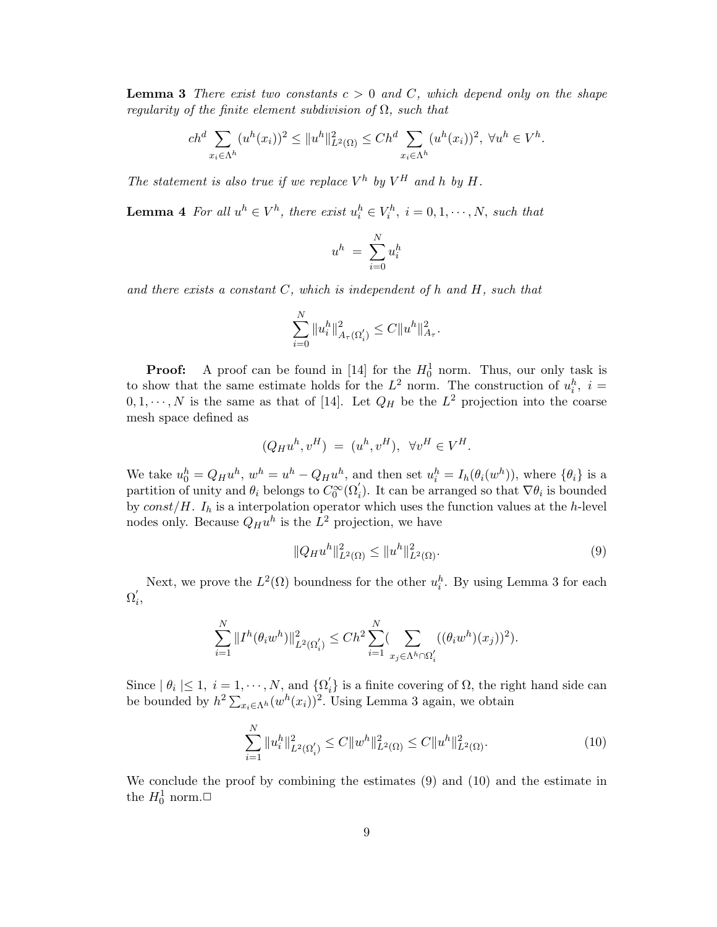**Lemma 3** There exist two constants  $c > 0$  and C, which depend only on the shape regularity of the finite element subdivision of  $\Omega$ , such that

$$
ch^d \sum_{x_i \in \Lambda^h} (u^h(x_i))^2 \le ||u^h||^2_{L^2(\Omega)} \le Ch^d \sum_{x_i \in \Lambda^h} (u^h(x_i))^2, \ \forall u^h \in V^h.
$$

The statement is also true if we replace  $V^h$  by  $V^H$  and h by H.

**Lemma 4** For all  $u^h \in V^h$ , there exist  $u_i^h \in V_i^h$ ,  $i = 0, 1, \dots, N$ , such that

$$
u^h\ =\ \sum_{i=0}^N u^h_i
$$

and there exists a constant  $C$ , which is independent of h and  $H$ , such that

$$
\sum_{i=0}^N \|u_i^h\|_{A_\tau(\Omega_i')}^2 \leq C \|u^h\|_{A_\tau}^2.
$$

**Proof:** A proof can be found in [14] for the  $H_0^1$  norm. Thus, our only task is to show that the same estimate holds for the  $L^2$  norm. The construction of  $u_i^h$ ,  $i =$  $0, 1, \dots, N$  is the same as that of [14]. Let  $Q_H$  be the  $L^2$  projection into the coarse mesh space defined as

$$
(Q_H u^h, v^H) = (u^h, v^H), \ \forall v^H \in V^H.
$$

We take  $u_0^h = Q_H u^h$ ,  $w^h = u^h - Q_H u^h$ , and then set  $u_i^h = I_h(\theta_i(w^h))$ , where  $\{\theta_i\}$  is a partition of unity and  $\theta_i$  belongs to  $C_0^{\infty}(\Omega'_i)$ . It can be arranged so that  $\nabla \theta_i$  is bounded by  $const/H$ .  $I<sub>h</sub>$  is a interpolation operator which uses the function values at the h-level nodes only. Because  $Q_H u^h$  is the  $L^2$  projection, we have

$$
||Q_H u^h||_{L^2(\Omega)}^2 \le ||u^h||_{L^2(\Omega)}^2.
$$
\n(9)

Next, we prove the  $L^2(\Omega)$  boundness for the other  $u_i^h$ . By using Lemma 3 for each  $\Omega_i'$ i ,

$$
\sum_{i=1}^N \|I^h(\theta_i w^h)\|_{L^2(\Omega_i')}^2 \le Ch^2 \sum_{i=1}^N (\sum_{x_j \in \Lambda^h \cap \Omega_i'} ((\theta_i w^h)(x_j))^2).
$$

Since  $| \theta_i | \leq 1, i = 1, \cdots, N$ , and  $\{ \Omega'_i \}$  $\binom{1}{i}$  is a finite covering of  $\Omega$ , the right hand side can be bounded by  $h^2 \sum_{x_i \in \Lambda^h} (w^h(x_i))^2$ . Using Lemma 3 again, we obtain

$$
\sum_{i=1}^{N} \|u_i^h\|_{L^2(\Omega_i')}^2 \le C \|w^h\|_{L^2(\Omega)}^2 \le C \|u^h\|_{L^2(\Omega)}^2.
$$
\n(10)

We conclude the proof by combining the estimates (9) and (10) and the estimate in the  $H_0^1$  norm.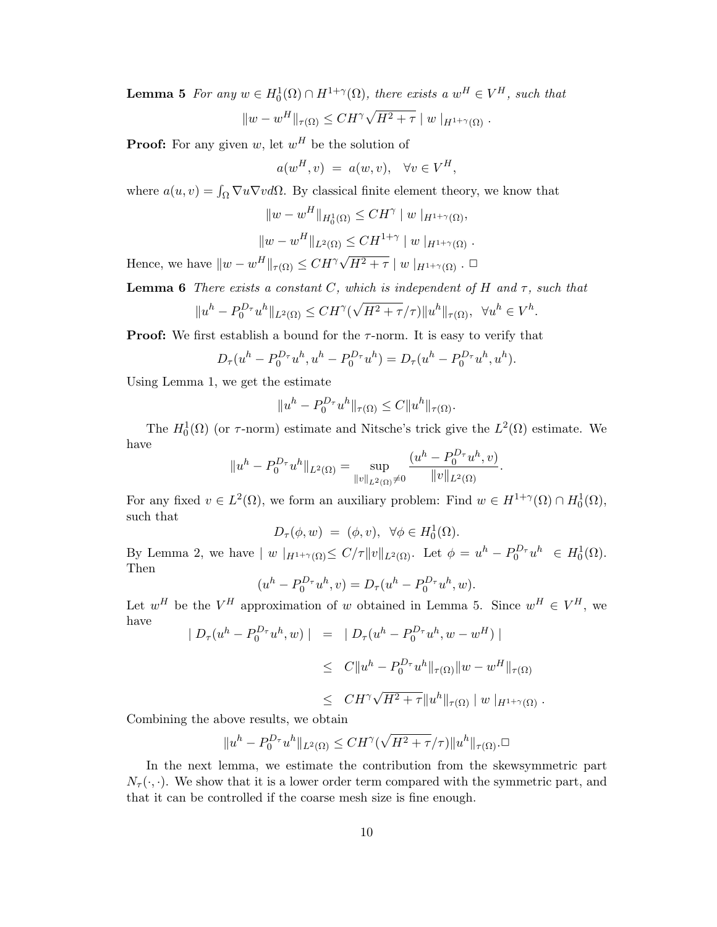**Lemma 5** For any  $w \in H_0^1(\Omega) \cap H^{1+\gamma}(\Omega)$ , there exists a  $w^H \in V^H$ , such that  $||w - w^H||_{\tau(\Omega)} \leq C H^{\gamma} \sqrt{\frac{\lambda}{2}}$  $H^2 + \tau \mid w \mid_{H^{1+\gamma}(\Omega)}$ .

**Proof:** For any given w, let  $w^H$  be the solution of

 $a(w^H, v) = a(w, v), \quad \forall v \in V^H,$ 

where  $a(u, v) = \int_{\Omega} \nabla u \nabla v d\Omega$ . By classical finite element theory, we know that

$$
||w - w^H||_{H_0^1(\Omega)} \leq C H^\gamma |w|_{H^{1+\gamma}(\Omega)},
$$
  

$$
||w - w^H||_{L^2(\Omega)} \leq C H^{1+\gamma} |w|_{H^{1+\gamma}(\Omega)}.
$$

Hence, we have  $||w - w^H||_{\tau(\Omega)} \leq C H^{\gamma} \sqrt{\frac{C}{\eta}}$  $\overline{H^2+\tau}\mid w\mid_{H^{1+\gamma}(\Omega)}$  .  $\Box$ 

**Lemma 6** There exists a constant C, which is independent of H and  $\tau$ , such that

$$
||u^h - P_0^{D_\tau} u^h||_{L^2(\Omega)} \leq C H^\gamma(\sqrt{H^2 + \tau}/\tau)||u^h||_{\tau(\Omega)}, \ \ \forall u^h \in V^h.
$$

**Proof:** We first establish a bound for the  $\tau$ -norm. It is easy to verify that

$$
D_{\tau}(u^{h} - P_{0}^{D_{\tau}}u^{h}, u^{h} - P_{0}^{D_{\tau}}u^{h}) = D_{\tau}(u^{h} - P_{0}^{D_{\tau}}u^{h}, u^{h}).
$$

Using Lemma 1, we get the estimate

$$
||u^h - P_0^{D_\tau} u^h||_{\tau(\Omega)} \leq C||u^h||_{\tau(\Omega)}.
$$

The  $H_0^1(\Omega)$  (or  $\tau$ -norm) estimate and Nitsche's trick give the  $L^2(\Omega)$  estimate. We have

$$
||u^h - P_0^{D_{\tau}} u^h||_{L^2(\Omega)} = \sup_{||v||_{L^2(\Omega)} \neq 0} \frac{(u^h - P_0^{D_{\tau}} u^h, v)}{||v||_{L^2(\Omega)}}.
$$

For any fixed  $v \in L^2(\Omega)$ , we form an auxiliary problem: Find  $w \in H^{1+\gamma}(\Omega) \cap H_0^1(\Omega)$ , such that

$$
D_{\tau}(\phi, w) = (\phi, v), \ \forall \phi \in H_0^1(\Omega).
$$

By Lemma 2, we have  $|w|_{H^{1+\gamma}(\Omega)} \le C/\tau ||v||_{L^2(\Omega)}$ . Let  $\phi = u^h - P_0^{D_{\tau}} u^h \in H_0^1(\Omega)$ . Then

$$
(uh - P0D\tau uh, v) = D\tau (uh - P0D\tau uh, w).
$$

Let  $w^H$  be the  $V^H$  approximation of w obtained in Lemma 5. Since  $w^H \in V^H$ , we have

$$
\|D_{\tau}(u^{h} - P_{0}^{D_{\tau}}u^{h}, w)\| = \|D_{\tau}(u^{h} - P_{0}^{D_{\tau}}u^{h}, w - w^{H})\|
$$
  
\n
$$
\leq C\|u^{h} - P_{0}^{D_{\tau}}u^{h}\|_{\tau(\Omega)}\|w - w^{H}\|_{\tau(\Omega)}
$$
  
\n
$$
\leq C H^{\gamma}\sqrt{H^{2} + \tau}\|u^{h}\|_{\tau(\Omega)}\|w\|_{H^{1+\gamma}(\Omega)}.
$$

Combining the above results, we obtain

$$
||u^h - P_0^{D_\tau} u^h||_{L^2(\Omega)} \leq C H^\gamma(\sqrt{H^2 + \tau}/\tau)||u^h||_{\tau(\Omega)}.
$$

In the next lemma, we estimate the contribution from the skewsymmetric part  $N_{\tau}(\cdot,\cdot)$ . We show that it is a lower order term compared with the symmetric part, and that it can be controlled if the coarse mesh size is fine enough.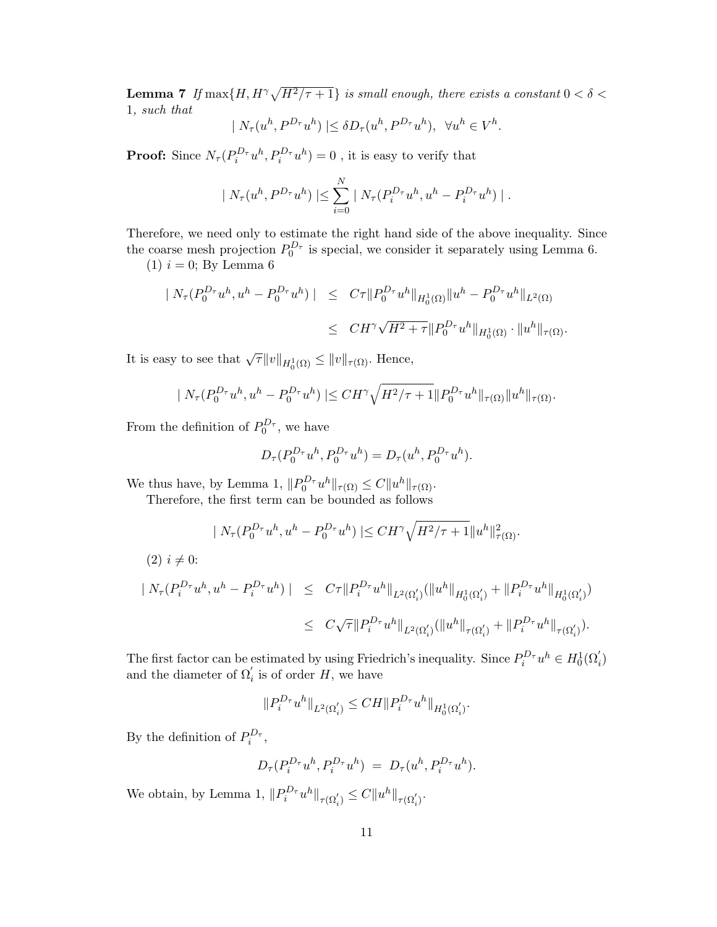**Lemma 7** If  $\max\{H, H^{\gamma}\sqrt{H^2/\tau + 1}\}$  is small enough, there exists a constant  $0 < \delta <$ 1, such that

$$
|N_{\tau}(u^h, P^{D_{\tau}}u^h)| \leq \delta D_{\tau}(u^h, P^{D_{\tau}}u^h), \ \forall u^h \in V^h.
$$

**Proof:** Since  $N_{\tau}(P_i^{D_{\tau}}u^h, P_i^{D_{\tau}}u^h) = 0$ , it is easy to verify that

$$
| N_{\tau}(u^{h}, P^{D_{\tau}}u^{h}) | \leq \sum_{i=0}^{N} | N_{\tau}(P_{i}^{D_{\tau}}u^{h}, u^{h}-P_{i}^{D_{\tau}}u^{h}) |.
$$

Therefore, we need only to estimate the right hand side of the above inequality. Since the coarse mesh projection  $P_0^{D_{\tau}}$  is special, we consider it separately using Lemma 6.  $(1) i = 0; By Lemma 6$ 

$$
\|N_{\tau}(P_{0}^{D_{\tau}}u^{h},u^{h}-P_{0}^{D_{\tau}}u^{h})\| \leq C\tau \|P_{0}^{D_{\tau}}u^{h}\|_{H_{0}^{1}(\Omega)}\|u^{h}-P_{0}^{D_{\tau}}u^{h}\|_{L^{2}(\Omega)}
$$
  

$$
\leq CH^{\gamma}\sqrt{H^{2}+\tau}\|P_{0}^{D_{\tau}}u^{h}\|_{H_{0}^{1}(\Omega)}\cdot\|u^{h}\|_{\tau(\Omega)}.
$$

It is easy to see that  $\sqrt{\tau} ||v||_{H_0^1(\Omega)} \le ||v||_{\tau(\Omega)}$ . Hence,

$$
\|N_\tau(P_0^{D_\tau}u^h,u^h-P_0^{D_\tau}u^h)\|\leq CH^\gamma\sqrt{H^2/\tau+1}\|P_0^{D_\tau}u^h\|_{\tau(\Omega)}\|u^h\|_{\tau(\Omega)}.
$$

From the definition of  $P_0^{D_{\tau}}$ , we have

$$
D_{\tau}(P_0^{D_{\tau}}u^h, P_0^{D_{\tau}}u^h) = D_{\tau}(u^h, P_0^{D_{\tau}}u^h).
$$

 $\mathcal{L}_{\mathcal{A}}$ 

We thus have, by Lemma 1,  $||P_0^{D_{\tau}}u^h||_{\tau(\Omega)} \leq C||u^h||_{\tau(\Omega)}$ .

Therefore, the first term can be bounded as follows

$$
| N_{\tau}(P_0^{D_{\tau}}u^h, u^h - P_0^{D_{\tau}}u^h) | \leq CH^{\gamma} \sqrt{H^2/\tau} + 1 \|u^h\|_{\tau(\Omega)}^2.
$$
  
\n(2)  $i \neq 0$ :  
\n
$$
| N_{\tau}(P_i^{D_{\tau}}u^h, u^h - P_i^{D_{\tau}}u^h) | \leq C\tau \|P_i^{D_{\tau}}u^h\|_{L^2(\Omega_i')}(\|u^h\|_{H_0^1(\Omega_i')} + \|P_i^{D_{\tau}}u^h\|_{H_0^1(\Omega_i')})
$$
  
\n
$$
\leq C\sqrt{\tau} \|P_i^{D_{\tau}}u^h\|_{L^2(\Omega_i')}(\|u^h\|_{\tau(\Omega_i')} + \|P_i^{D_{\tau}}u^h\|_{\tau(\Omega_i')}).
$$

The first factor can be estimated by using Friedrich's inequality. Since  $P_i^{D_{\tau}}u^h \in H_0^1(\Omega_i)$ and the diameter of  $\Omega_i'$  is of order H, we have

$$
\|P_i^{D_\tau}u^h\|_{L^2(\Omega_i')}\leq CH \|P_i^{D_\tau}u^h\|_{H^1_0(\Omega_i')}.
$$

By the definition of  $P_i^{D_{\tau}},$ 

$$
D_{\tau}(P_i^{D_{\tau}}u^h, P_i^{D_{\tau}}u^h) = D_{\tau}(u^h, P_i^{D_{\tau}}u^h).
$$

We obtain, by Lemma 1,  $||P_i^{D_{\tau}}u^h||_{\tau(\Omega_i')} \leq C||u^h||_{\tau(\Omega_i')}$ .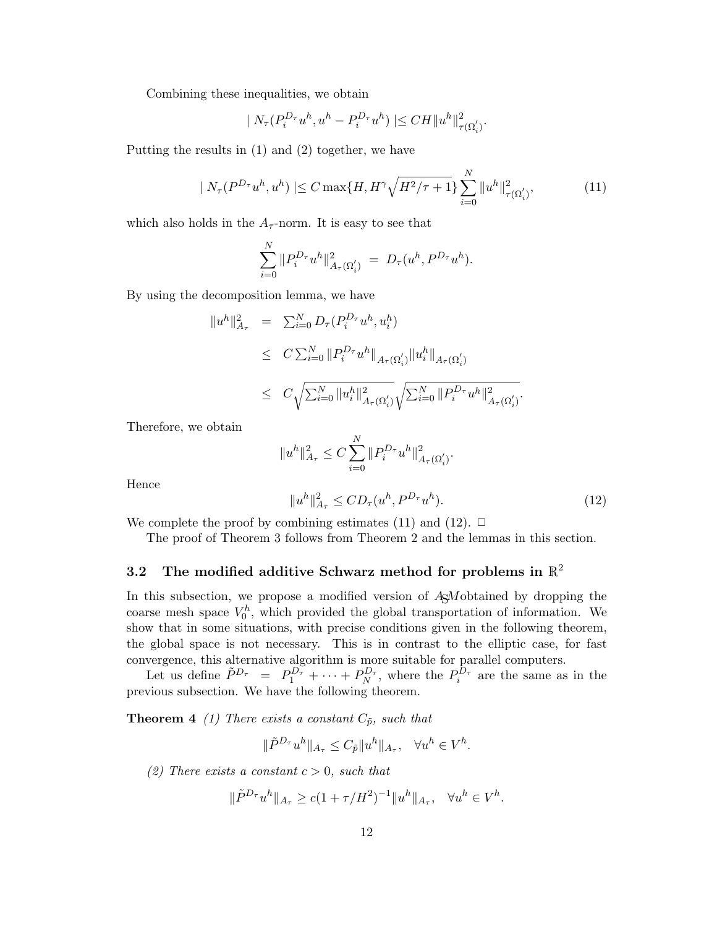Combining these inequalities, we obtain

$$
|N_{\tau}(P_i^{D_{\tau}}u^h, u^h - P_i^{D_{\tau}}u^h)| \leq C H ||u^h||^2_{\tau(\Omega_i')}.
$$

Putting the results in (1) and (2) together, we have

$$
|N_{\tau}(P^{D_{\tau}}u^{h},u^{h})| \leq C \max\{H, H^{\gamma}\sqrt{H^{2}/\tau+1}\} \sum_{i=0}^{N} \|u^{h}\|_{\tau(\Omega_{i}')}^{2},
$$
\n(11)

which also holds in the  $A_{\tau}$ -norm. It is easy to see that

$$
\sum_{i=0}^N \|P_i^{D_{\tau}} u^h\|_{A_{\tau}(\Omega'_i)}^2 = D_{\tau}(u^h, P^{D_{\tau}} u^h).
$$

By using the decomposition lemma, we have

$$
\begin{array}{rcl} \|u^h\|^2_{A_{\tau}} & = & \sum_{i=0}^N D_{\tau}(P_i^{D_{\tau}}u^h, u_i^h) \\ \\ & \leq & C\sum_{i=0}^N \|P_i^{D_{\tau}}u^h\|_{A_{\tau}(\Omega_i')} \|u_i^h\|_{A_{\tau}(\Omega_i')} \\ \\ & \leq & C\sqrt{\sum_{i=0}^N \|u_i^h\|^2_{A_{\tau}(\Omega_i')}} \sqrt{\sum_{i=0}^N \|P_i^{D_{\tau}}u^h\|^2_{A_{\tau}(\Omega_i')}}. \end{array}
$$

Therefore, we obtain

$$
||u^h||_{A_{\tau}}^2 \le C \sum_{i=0}^N ||P_i^{D_{\tau}} u^h||_{A_{\tau}(\Omega_i')}^2.
$$

Hence

$$
||u^h||_{A_\tau}^2 \le CD_\tau(u^h, P^{D_\tau}u^h). \tag{12}
$$

We complete the proof by combining estimates (11) and (12).  $\Box$ 

The proof of Theorem 3 follows from Theorem 2 and the lemmas in this section.

# 3.2 The modified additive Schwarz method for problems in  $\mathbb{R}^2$

In this subsection, we propose a modified version of ASM obtained by dropping the coarse mesh space  $V_0^h$ , which provided the global transportation of information. We show that in some situations, with precise conditions given in the following theorem, the global space is not necessary. This is in contrast to the elliptic case, for fast convergence, this alternative algorithm is more suitable for parallel computers.

Let us define  $\tilde{P}^{D_{\tau}} = P_1^{D_{\tau}} + \cdots + P_N^{D_{\tau}}$ , where the  $P_i^{D_{\tau}}$  are the same as in the previous subsection. We have the following theorem.

**Theorem 4** (1) There exists a constant  $C_{\tilde{p}}$ , such that

$$
\|\tilde{P}^{D_{\tau}}u^h\|_{A_{\tau}} \leq C_{\tilde{p}}\|u^h\|_{A_{\tau}}, \quad \forall u^h \in V^h.
$$

(2) There exists a constant  $c > 0$ , such that

$$
\|\tilde{P}^{D_{\tau}}u^{h}\|_{A_{\tau}} \geq c(1+\tau/H^{2})^{-1} \|u^{h}\|_{A_{\tau}}, \quad \forall u^{h} \in V^{h}.
$$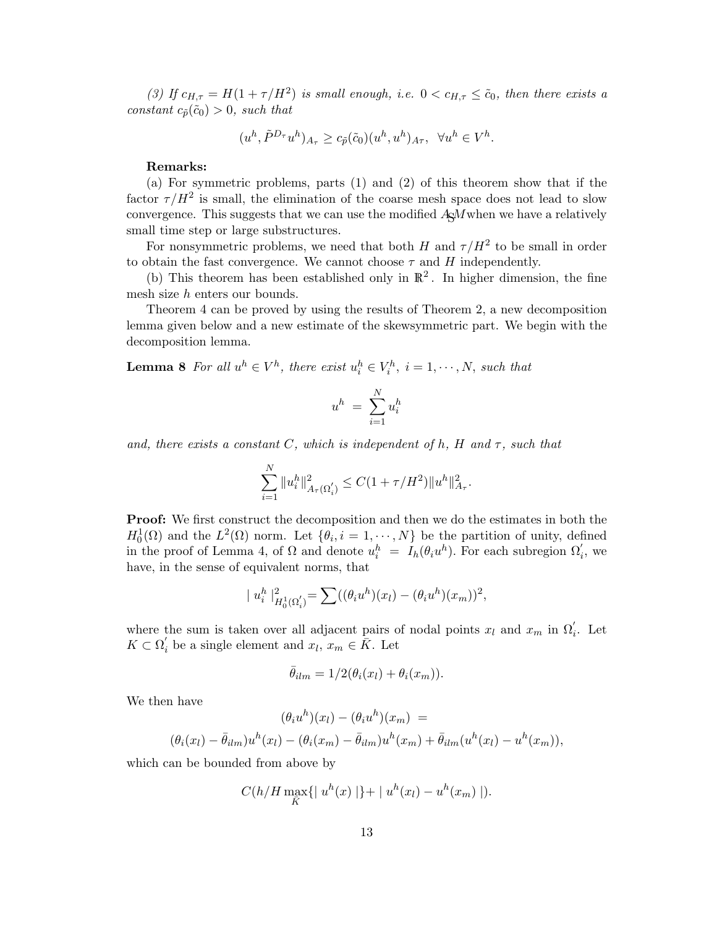(3) If  $c_{H,\tau} = H(1+\tau/H^2)$  is small enough, i.e.  $0 < c_{H,\tau} \leq \tilde{c}_0$ , then there exists a constant  $c_{\tilde{p}}(\tilde{c}_0) > 0$ , such that

$$
(u^h,\tilde P^{D_\tau}u^h)_{A_\tau}\geq c_{\tilde p}(\tilde c_0)(u^h,u^h)_{A\tau},\;\;\forall u^h\in V^h.
$$

#### Remarks:

(a) For symmetric problems, parts (1) and (2) of this theorem show that if the factor  $\tau/H^2$  is small, the elimination of the coarse mesh space does not lead to slow convergence. This suggests that we can use the modified  $A\alpha M$  when we have a relatively small time step or large substructures.

For nonsymmetric problems, we need that both H and  $\tau/H^2$  to be small in order to obtain the fast convergence. We cannot choose  $\tau$  and H independently.

(b) This theorem has been established only in  $\mathbb{R}^2$ . In higher dimension, the fine mesh size h enters our bounds.

Theorem 4 can be proved by using the results of Theorem 2, a new decomposition lemma given below and a new estimate of the skewsymmetric part. We begin with the decomposition lemma.

**Lemma 8** For all  $u^h \in V^h$ , there exist  $u_i^h \in V_i^h$ ,  $i = 1, \dots, N$ , such that

$$
u^h \ = \ \sum_{i=1}^N u_i^h
$$

and, there exists a constant C, which is independent of h, H and  $\tau$ , such that

$$
\sum_{i=1}^N \|u_i^h\|_{A_\tau(\Omega_i')}^2 \leq C(1+\tau/H^2) \|u^h\|_{A_\tau}^2.
$$

Proof: We first construct the decomposition and then we do the estimates in both the  $H_0^1(\Omega)$  and the  $L^2(\Omega)$  norm. Let  $\{\theta_i, i = 1, \dots, N\}$  be the partition of unity, defined in the proof of Lemma 4, of  $\Omega$  and denote  $u_i^h = I_h(\theta_i u^h)$ . For each subregion  $\Omega'_i$ , we have, in the sense of equivalent norms, that

$$
|u_i^h|^2_{H_0^1(\Omega_i')} = \sum_{i=1}^n ((\theta_i u^h)(x_i) - (\theta_i u^h)(x_m))^2,
$$

where the sum is taken over all adjacent pairs of nodal points  $x_l$  and  $x_m$  in  $\Omega'_i$ . Let  $K \subset \Omega_i'$  be a single element and  $x_l, x_m \in \overline{K}$ . Let

$$
\bar{\theta}_{ilm} = 1/2(\theta_i(x_l) + \theta_i(x_m)).
$$

We then have

$$
(\theta_i u^h)(x_l) - (\theta_i u^h)(x_m) =
$$
  

$$
(\theta_i (x_l) - \bar{\theta}_{ilm})u^h(x_l) - (\theta_i (x_m) - \bar{\theta}_{ilm})u^h(x_m) + \bar{\theta}_{ilm}(u^h(x_l) - u^h(x_m)),
$$

which can be bounded from above by

$$
C(h/H \max_{\bar{K}} \{ |u^h(x) | \} + |u^h(x_l) - u^h(x_m) |).
$$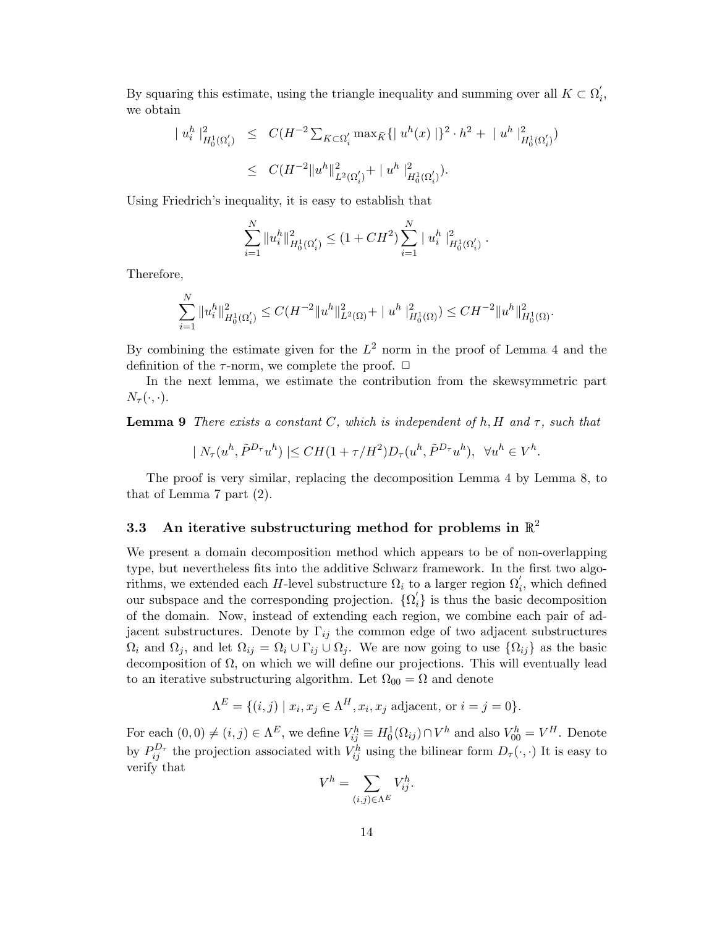By squaring this estimate, using the triangle inequality and summing over all  $K \subset \Omega'$ i , we obtain

$$
\begin{array}{lcl} \mid u_i^h \mid_{H_0^1(\Omega_i')}^2 & \leq & C(H^{-2} \sum_{K \subset \Omega_i'} \max_{\bar{K}} \{ \mid u^h(x) \mid \}^2 \cdot h^2 \, + \, \mid u^h \mid_{H_0^1(\Omega_i')}^2) \\ \\ & \leq & C(H^{-2} \| u^h \|^2_{L^2(\Omega_i')} + \, \mid u^h \mid_{H_0^1(\Omega_i')}^2). \end{array}
$$

Using Friedrich's inequality, it is easy to establish that

$$
\sum_{i=1}^N \|u_i^h\|_{H_0^1(\Omega_i')}^2 \le (1 + CH^2) \sum_{i=1}^N \|u_i^h\|_{H_0^1(\Omega_i')}^2.
$$

Therefore,

$$
\sum_{i=1}^N \|u_i^h\|_{H_0^1(\Omega_i')}^2 \le C(H^{-2} \|u^h\|_{L^2(\Omega)}^2 + \|u^h\|_{H_0^1(\Omega)}^2) \le C H^{-2} \|u^h\|_{H_0^1(\Omega)}^2.
$$

By combining the estimate given for the  $L^2$  norm in the proof of Lemma 4 and the definition of the  $\tau$ -norm, we complete the proof.  $\Box$ 

In the next lemma, we estimate the contribution from the skewsymmetric part  $N_\tau(\cdot,\cdot).$ 

**Lemma 9** There exists a constant C, which is independent of h, H and  $\tau$ , such that

$$
| N_{\tau}(u^h, \tilde{P}^{D_{\tau}}u^h)| \leq CH(1+\tau/H^2)D_{\tau}(u^h, \tilde{P}^{D_{\tau}}u^h), \ \ \forall u^h \in V^h.
$$

The proof is very similar, replacing the decomposition Lemma 4 by Lemma 8, to that of Lemma 7 part (2).

# 3.3 An iterative substructuring method for problems in  $\mathbb{R}^2$

We present a domain decomposition method which appears to be of non-overlapping type, but nevertheless fits into the additive Schwarz framework. In the first two algorithms, we extended each H-level substructure  $\Omega_i$  to a larger region  $\Omega'_i$ , which defined our subspace and the corresponding projection.  $\{\Omega_n\}$  $i<sub>i</sub>$  is thus the basic decomposition of the domain. Now, instead of extending each region, we combine each pair of adjacent substructures. Denote by  $\Gamma_{ij}$  the common edge of two adjacent substructures  $\Omega_i$  and  $\Omega_j$ , and let  $\Omega_{ij} = \Omega_i \cup \Gamma_{ij} \cup \Omega_j$ . We are now going to use  $\{\Omega_{ij}\}\$ as the basic decomposition of  $\Omega$ , on which we will define our projections. This will eventually lead to an iterative substructuring algorithm. Let  $\Omega_{00} = \Omega$  and denote

$$
\Lambda^{E} = \{ (i,j) \mid x_i, x_j \in \Lambda^H, x_i, x_j \text{ adjacent, or } i = j = 0 \}.
$$

For each  $(0,0) \neq (i, j) \in \Lambda^E$ , we define  $V_{ij}^h \equiv H_0^1(\Omega_{ij}) \cap V^h$  and also  $V_{00}^h = V^H$ . Denote by  $P_{ij}^{D_{\tau}}$  the projection associated with  $V_{ij}^h$  using the bilinear form  $D_{\tau}(\cdot, \cdot)$  It is easy to verify that  $\overline{a}$ 

$$
V^h = \sum_{(i,j)\in \Lambda^E} V_{ij}^h.
$$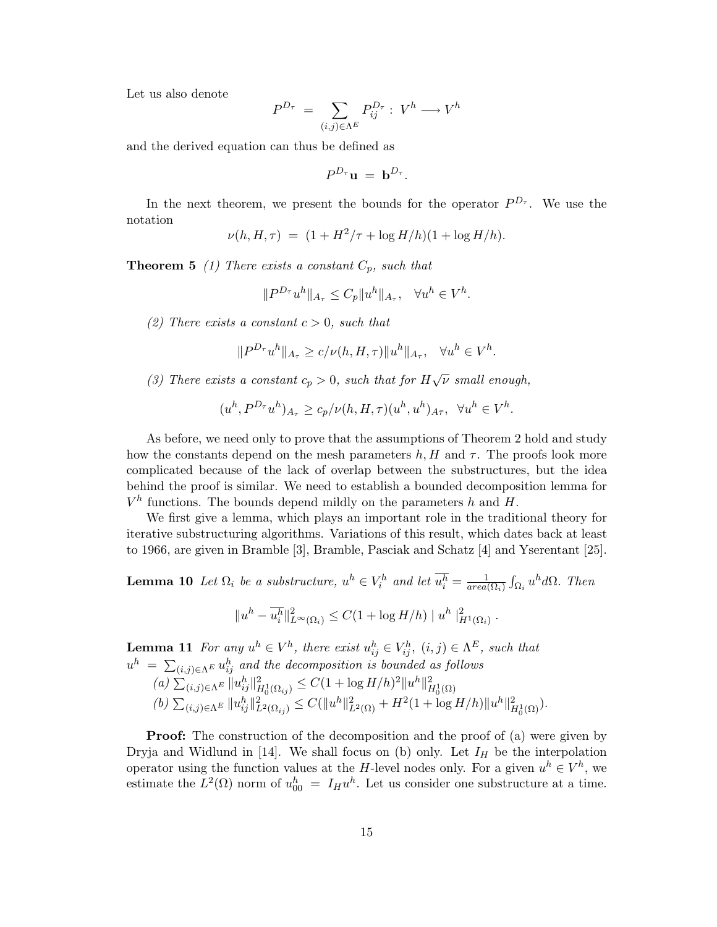Let us also denote

$$
P^{D_{\tau}} = \sum_{(i,j)\in\Lambda^E} P_{ij}^{D_{\tau}} : V^h \longrightarrow V^h
$$

and the derived equation can thus be defined as

$$
P^{D_{\tau}}\mathbf{u} = \mathbf{b}^{D_{\tau}}.
$$

In the next theorem, we present the bounds for the operator  $P^{D_{\tau}}$ . We use the notation

$$
\nu(h, H, \tau) = (1 + H^2/\tau + \log H/h)(1 + \log H/h).
$$

**Theorem 5** (1) There exists a constant  $C_p$ , such that

$$
||P^{D_{\tau}}u^h||_{A_{\tau}} \leq C_p||u^h||_{A_{\tau}}, \quad \forall u^h \in V^h.
$$

(2) There exists a constant  $c > 0$ , such that

$$
||P^{D_{\tau}}u^h||_{A_{\tau}} \ge c/\nu(h, H, \tau)||u^h||_{A_{\tau}}, \quad \forall u^h \in V^h.
$$

(3) There exists a constant  $c_p > 0$ , such that for  $H\sqrt{\nu}$  small enough,

$$
(u^h, P^{D_{\tau}}u^h)_{A_{\tau}} \ge c_p/\nu(h, H, \tau)(u^h, u^h)_{A_{\tau}}, \ \ \forall u^h \in V^h.
$$

As before, we need only to prove that the assumptions of Theorem 2 hold and study how the constants depend on the mesh parameters  $h, H$  and  $\tau$ . The proofs look more complicated because of the lack of overlap between the substructures, but the idea behind the proof is similar. We need to establish a bounded decomposition lemma for  $V^h$  functions. The bounds depend mildly on the parameters h and H.

We first give a lemma, which plays an important role in the traditional theory for iterative substructuring algorithms. Variations of this result, which dates back at least to 1966, are given in Bramble [3], Bramble, Pasciak and Schatz [4] and Yserentant [25].

**Lemma 10** Let  $\Omega_i$  be a substructure,  $u^h \in V_i^h$  and let  $\overline{u_i^h} = \frac{1}{area}$  $\overline{area(\Omega_i)}$ R  $\int_{\Omega_i} u^h d\Omega$ . Then  $||u^h - \overline{u_i^h}||^2_{L^{\infty}(\Omega_i)} \leq C(1 + \log H/h) ||u^h||^2_{H^1(\Omega_i)}.$ 

**Lemma 11** For any  $u^h \in V^h$ , there exist  $u^h_{ij} \in V^h_{ij}$ ,  $(i, j) \in \Lambda^E$ , such that **EXECUTE:** THE HOT AND  $\mathbf{u}_i^h = \sum_{(i,j) \in \Lambda^E} u_{ij}^h$  and the decomposition is bounded as follows  $(a) \sum_{(i,j) \in \Lambda^E} \|u_{ij}^h\|_{H_0^1(\Omega_{ij})}^2 \leq C(1 + \log H/h)^2 \|u^h\|_{H_0^1(\Omega)}^2$ 

$$
(b) \sum_{(i,j)\in\Lambda^E} ||u_{ij}^h||_{L^2(\Omega_{ij})}^2 \leq C(||u^h||_{L^2(\Omega)}^2 + H^2(1 + \log H/h)||u^h||_{H_0^1(\Omega)}^2).
$$

**Proof:** The construction of the decomposition and the proof of (a) were given by Dryja and Widlund in [14]. We shall focus on (b) only. Let  $I_H$  be the interpolation operator using the function values at the H-level nodes only. For a given  $u^h \in V^h$ , we estimate the  $L^2(\Omega)$  norm of  $u_{00}^h = I_H u^h$ . Let us consider one substructure at a time.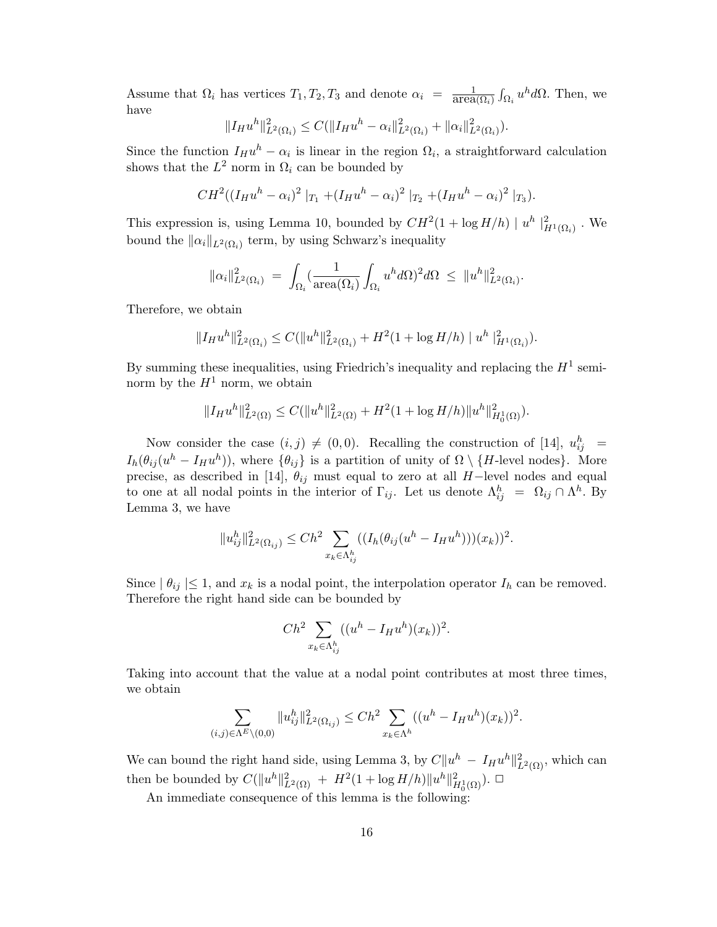Assume that  $\Omega_i$  has vertices  $T_1, T_2, T_3$  and denote  $\alpha_i = \frac{1}{\text{area}(\Omega_i)}$ R  $\sum_{\Omega_i} u^h d\Omega$ . Then, we have

$$
||I_{H}u^{h}||_{L^{2}(\Omega_{i})}^{2} \leq C(||I_{H}u^{h} - \alpha_{i}||_{L^{2}(\Omega_{i})}^{2} + ||\alpha_{i}||_{L^{2}(\Omega_{i})}^{2}).
$$

Since the function  $I_H u^h - \alpha_i$  is linear in the region  $\Omega_i$ , a straightforward calculation shows that the  $L^2$  norm in  $\Omega_i$  can be bounded by

$$
CH^{2}((I_{H}u^{h}-\alpha_{i})^{2}|_{T_{1}}+(I_{H}u^{h}-\alpha_{i})^{2}|_{T_{2}}+(I_{H}u^{h}-\alpha_{i})^{2}|_{T_{3}}).
$$

This expression is, using Lemma 10, bounded by  $CH^2(1 + \log H/h) |u^h|_{H^1(\Omega_i)}^2$ . We bound the  $\|\alpha_i\|_{L^2(\Omega_i)}$  term, by using Schwarz's inequality

$$
\|\alpha_i\|_{L^2(\Omega_i)}^2 \ = \ \int_{\Omega_i} (\frac{1}{\operatorname{area}(\Omega_i)}\int_{\Omega_i} u^h d\Omega)^2 d\Omega \ \leq \ \|u^h\|_{L^2(\Omega_i)}^2.
$$

Therefore, we obtain

$$
||I_{H}u^{h}||_{L^{2}(\Omega_{i})}^{2} \leq C(||u^{h}||_{L^{2}(\Omega_{i})}^{2} + H^{2}(1 + \log H/h) ||u^{h}||_{H^{1}(\Omega_{i})}^{2}).
$$

By summing these inequalities, using Friedrich's inequality and replacing the  $H^1$  seminorm by the  $H^1$  norm, we obtain

$$
||I_{H}u^{h}||_{L^{2}(\Omega)}^{2} \leq C(||u^{h}||_{L^{2}(\Omega)}^{2} + H^{2}(1 + \log H/h)||u^{h}||_{H_{0}^{1}(\Omega)}^{2}).
$$

Now consider the case  $(i, j) \neq (0, 0)$ . Recalling the construction of [14],  $u_{ij}^h$  =  $I_h(\theta_{ij}(u^h - I_H u^h))$ , where  $\{\theta_{ij}\}\$ is a partition of unity of  $\Omega \setminus \{H\text{-level nodes}\}\$ . More precise, as described in [14],  $\theta_{ij}$  must equal to zero at all H−level nodes and equal to one at all nodal points in the interior of  $\Gamma_{ij}$ . Let us denote  $\Lambda_{ij}^h = \Omega_{ij} \cap \Lambda^h$ . By Lemma 3, we have

$$
||u_{ij}^{h}||_{L^{2}(\Omega_{ij})}^{2} \le Ch^{2} \sum_{x_{k} \in \Lambda_{ij}^{h}} ((I_{h}(\theta_{ij}(u^{h} - I_{H}u^{h}))(x_{k}))^{2}.
$$

Since  $| \theta_{ij} | \leq 1$ , and  $x_k$  is a nodal point, the interpolation operator  $I_h$  can be removed. Therefore the right hand side can be bounded by

$$
Ch^2 \sum_{x_k \in \Lambda_{ij}^h} ((u^h - I_H u^h)(x_k))^2.
$$

Taking into account that the value at a nodal point contributes at most three times, we obtain

$$
\sum_{(i,j)\in\Lambda^{E}\backslash(0,0)}||u_{ij}^{h}||_{L^{2}(\Omega_{ij})}^{2}\leq Ch^{2}\sum_{x_{k}\in\Lambda^{h}}((u^{h}-I_{H}u^{h})(x_{k}))^{2}.
$$

We can bound the right hand side, using Lemma 3, by  $C||u^h - I_Hu^h||^2_{L^2(\Omega)}$ , which can then be bounded by  $C(\|u^h\|_{L^2(\Omega)}^2 + H^2(1 + \log H/h) \|u^h\|_{H_0^1(\Omega)}^2)$ .

An immediate consequence of this lemma is the following: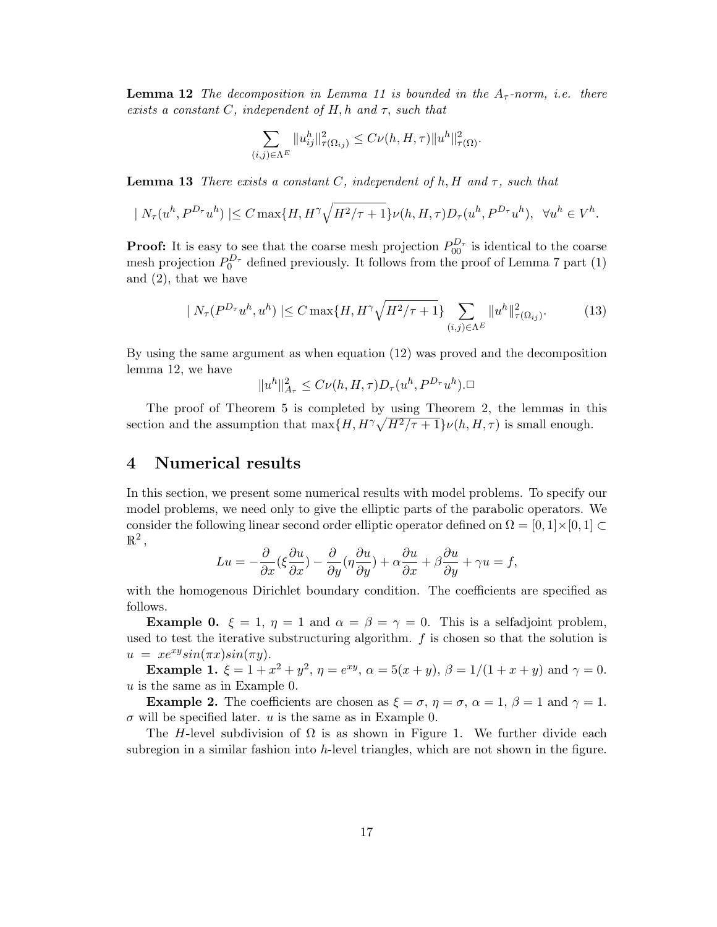**Lemma 12** The decomposition in Lemma 11 is bounded in the  $A<sub>\tau</sub>$ -norm, i.e. there exists a constant  $C$ , independent of  $H$ , h and  $\tau$ , such that

$$
\sum_{(i,j)\in\Lambda^E} \|u_{ij}^h\|_{\tau(\Omega_{ij})}^2 \leq C \nu(h, H, \tau) \|u^h\|_{\tau(\Omega)}^2.
$$

**Lemma 13** There exists a constant C, independent of h, H and  $\tau$ , such that

$$
|N_{\tau}(u^h, P^{D_{\tau}}u^h)| \leq C \max\{H, H^{\gamma}\sqrt{H^2/\tau+1}\}\nu(h, H, \tau)D_{\tau}(u^h, P^{D_{\tau}}u^h), \ \ \forall u^h \in V^h.
$$

**Proof:** It is easy to see that the coarse mesh projection  $P_{00}^{D_{\tau}}$  is identical to the coarse mesh projection  $P_0^{D_{\tau}}$  defined previously. It follows from the proof of Lemma 7 part (1) and (2), that we have

$$
| N_{\tau}(P^{D_{\tau}}u^{h}, u^{h}) | \leq C \max\{H, H^{\gamma} \sqrt{H^{2}/\tau + 1}\} \sum_{(i,j) \in \Lambda^{E}} \|u^{h}\|_{\tau(\Omega_{ij})}^{2}.
$$
 (13)

By using the same argument as when equation (12) was proved and the decomposition lemma 12, we have

$$
||u^h||_{A_\tau}^2 \leq C\nu(h, H, \tau)D_\tau(u^h, P^{D_\tau}u^h).\Box
$$

The proof of Theorem 5 is completed by using Theorem 2, the lemmas in this section and the assumption that  $\max\{H, H^{\gamma}\sqrt{H^2/\tau+1}\}\nu(h, H, \tau)$  is small enough.

### 4 Numerical results

In this section, we present some numerical results with model problems. To specify our model problems, we need only to give the elliptic parts of the parabolic operators. We consider the following linear second order elliptic operator defined on  $\Omega = [0, 1] \times [0, 1] \subset$  $\mathbb{R}^2$ ,

$$
Lu = -\frac{\partial}{\partial x} (\xi \frac{\partial u}{\partial x}) - \frac{\partial}{\partial y} (\eta \frac{\partial u}{\partial y}) + \alpha \frac{\partial u}{\partial x} + \beta \frac{\partial u}{\partial y} + \gamma u = f,
$$

with the homogenous Dirichlet boundary condition. The coefficients are specified as follows.

**Example 0.**  $\xi = 1$ ,  $\eta = 1$  and  $\alpha = \beta = \gamma = 0$ . This is a selfadjoint problem, used to test the iterative substructuring algorithm. f is chosen so that the solution is  $u = xe^{xy}sin(\pi x)sin(\pi y).$ 

**Example 1.**  $\xi = 1 + x^2 + y^2$ ,  $\eta = e^{xy}$ ,  $\alpha = 5(x + y)$ ,  $\beta = 1/(1 + x + y)$  and  $\gamma = 0$ . u is the same as in Example 0.

**Example 2.** The coefficients are chosen as  $\xi = \sigma$ ,  $\eta = \sigma$ ,  $\alpha = 1$ ,  $\beta = 1$  and  $\gamma = 1$ .  $\sigma$  will be specified later. u is the same as in Example 0.

The H-level subdivision of  $\Omega$  is as shown in Figure 1. We further divide each subregion in a similar fashion into h-level triangles, which are not shown in the figure.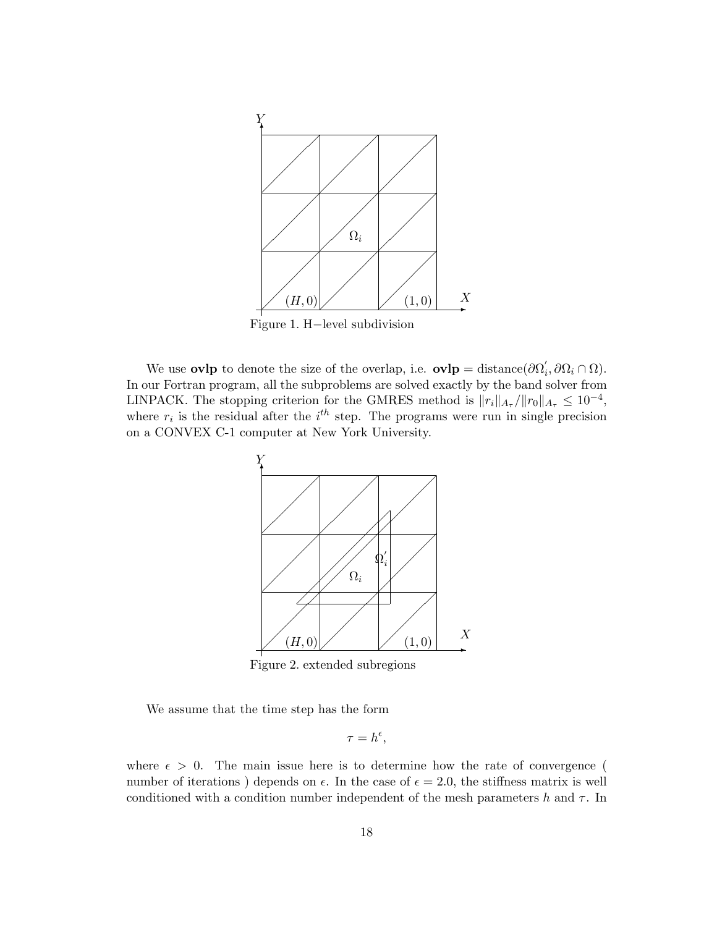

Figure 1. H−level subdivision

We use **ovlp** to denote the size of the overlap, i.e.  $\mathbf{ovlp} = \text{distance}(\partial \Omega)$  $i, \partial\Omega_i \cap \Omega$ ). In our Fortran program, all the subproblems are solved exactly by the band solver from LINPACK. The stopping criterion for the GMRES method is  $||r_i||_{A_{\tau}}/||r_0||_{A_{\tau}} \leq 10^{-4}$ , where  $r_i$  is the residual after the  $i<sup>th</sup>$  step. The programs were run in single precision on a CONVEX C-1 computer at New York University.



Figure 2. extended subregions

We assume that the time step has the form

$$
\tau = h^{\epsilon},
$$

where  $\epsilon > 0$ . The main issue here is to determine how the rate of convergence ( number of iterations) depends on  $\epsilon$ . In the case of  $\epsilon = 2.0$ , the stiffness matrix is well conditioned with a condition number independent of the mesh parameters h and  $\tau$ . In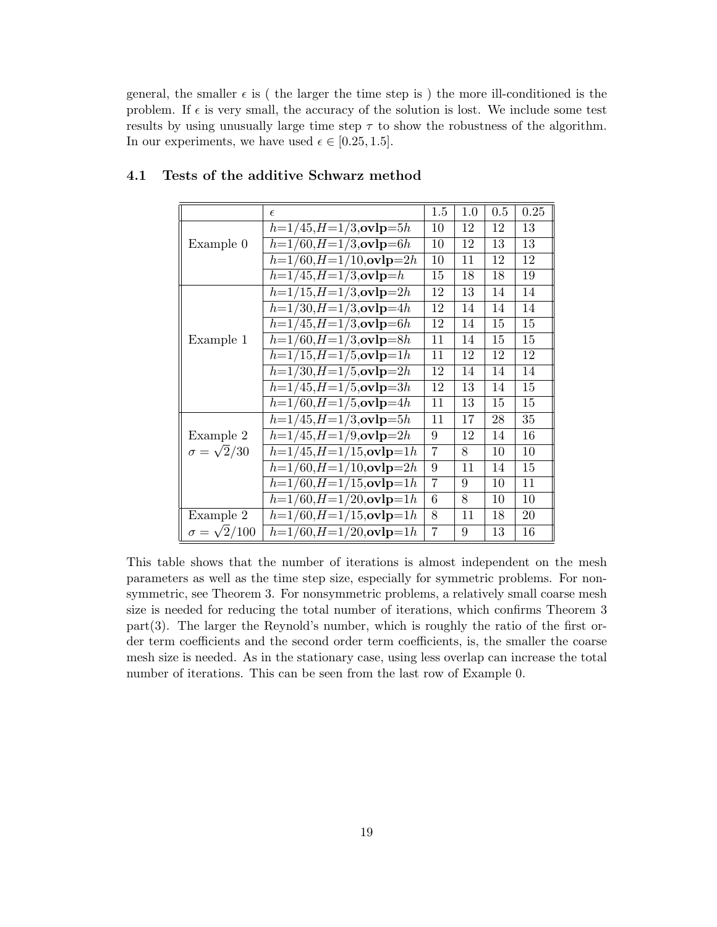general, the smaller  $\epsilon$  is ( the larger the time step is ) the more ill-conditioned is the problem. If  $\epsilon$  is very small, the accuracy of the solution is lost. We include some test results by using unusually large time step  $\tau$  to show the robustness of the algorithm. In our experiments, we have used  $\epsilon \in [0.25, 1.5]$ .

|                         | $\epsilon$                       | 1.5            | 1.0 | 0.5 | 0.25 |
|-------------------------|----------------------------------|----------------|-----|-----|------|
|                         | $h=1/45, H=1/3, \text{ovlp}=5h$  | 10             | 12  | 12  | 13   |
| Example 0               | $h=1/60, H=1/3, ovlp=6h$         | 10             | 12  | 13  | 13   |
|                         | $h=1/60, H=1/10, ovlp=2h$        | 10             | 11  | 12  | 12   |
|                         | $h=1/45, H=1/3, ovlp=h$          | 15             | 18  | 18  | 19   |
|                         | $h=1/15, H=1/3, ovlp=2h$         | 12             | 13  | 14  | 14   |
|                         | $h=1/30, H=1/3, \text{ovlp}=4h$  | 12             | 14  | 14  | 14   |
|                         | $h=1/45, H=1/3, ovlp=6h$         | 12             | 14  | 15  | 15   |
| Example 1               | $h=1/60, H=1/3, ovlp=8h$         | 11             | 14  | 15  | 15   |
|                         | $h=1/15, H=1/5, \text{ovlp}=1h$  | 11             | 12  | 12  | 12   |
|                         | $h=1/30, H=1/5, \text{ovlp}=2h$  | 12             | 14  | 14  | 14   |
|                         | $h=1/45, H=1/5, ovlp=3h$         | 12             | 13  | 14  | 15   |
|                         | $h=1/60, H=1/5, \text{ovlp}=4h$  | 11             | 13  | 15  | 15   |
|                         | $h=1/45, H=1/3, ovlp=5h$         | 11             | 17  | 28  | 35   |
| Example 2               | $h=1/45, H=1/9, ovlp=2h$         | 9              | 12  | 14  | 16   |
| $\sigma = \sqrt{2}/30$  | $h=1/45, H=1/15, \text{ovlp}=1h$ | 7              | 8   | 10  | 10   |
|                         | $h=1/60, H=1/10, ovlp=2h$        | 9              | 11  | 14  | 15   |
|                         | $h=1/60, H=1/15, \text{ovlp}=1h$ | $\overline{7}$ | 9   | 10  | 11   |
|                         | $h=1/60, H=1/20, ovlp=1h$        | 6              | 8   | 10  | 10   |
| Example 2               | $h=1/60, H=1/15, \text{ovlp}=1h$ | 8              | 11  | 18  | 20   |
| $\sigma = \sqrt{2}/100$ | $h=1/60, H=1/20, ovlp=1h$        | 7              | 9   | 13  | 16   |

### 4.1 Tests of the additive Schwarz method

This table shows that the number of iterations is almost independent on the mesh parameters as well as the time step size, especially for symmetric problems. For nonsymmetric, see Theorem 3. For nonsymmetric problems, a relatively small coarse mesh size is needed for reducing the total number of iterations, which confirms Theorem 3  $part(3)$ . The larger the Reynold's number, which is roughly the ratio of the first order term coefficients and the second order term coefficients, is, the smaller the coarse mesh size is needed. As in the stationary case, using less overlap can increase the total number of iterations. This can be seen from the last row of Example 0.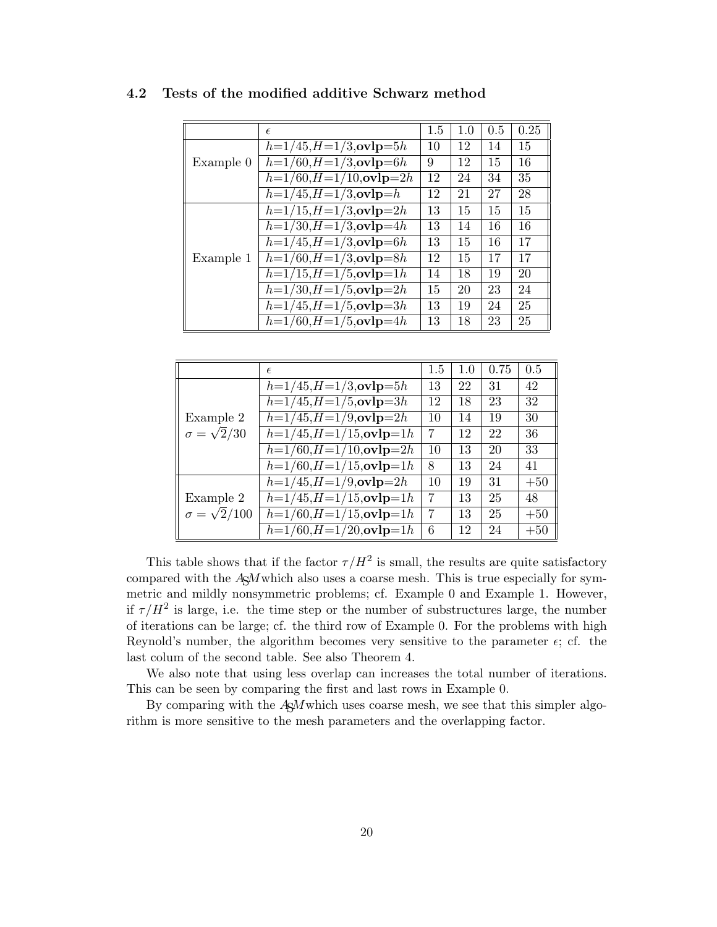|           | $\epsilon$                             | 1.5 | 1.0 | 0.5 | 0.25 |
|-----------|----------------------------------------|-----|-----|-----|------|
|           | $h=1/45, H=1/3, \text{ovlp}=5h$        | 10  | 12  | 14  | 15   |
| Example 0 | $h=1/60, H=1/3, \text{ovlp}=6h$        | 9   | 12  | 15  | 16   |
|           | $h=1/60, H=1/10, ovlp=2h$              | 12  | 24  | 34  | 35   |
|           | $h=1/45, H=1/3, \text{ovlp}=h$         | 12  | 21  | 27  | 28   |
| Example 1 | $h=1/15, H=1/3, ovlp=2h$               | 13  | 15  | 15  | 15   |
|           | $h=1/30, H=1/3, \text{ovlp}=4h$        | 13  | 14  | 16  | 16   |
|           | $h=1/45, H=1/3, ovlp=6h$               | 13  | 15  | 16  | 17   |
|           | $h=1/60, H=1/3, \text{ovlp}=8h$        | 12  | 15  | 17  | 17   |
|           | $h=1/15, H=1/5, ovlp=1h$               | 14  | 18  | 19  | 20   |
|           | $h=1/30, H=1/5, \text{ovlp}=2h$        | 15  | 20  | 23  | 24   |
|           | $\overline{h=1/45, H=1/5}$ , ovlp = 3h | 13  | 19  | 24  | 25   |
|           | $h=1/60, H=1/5, \text{ovlp}=4h$        | 13  | 18  | 23  | 25   |

### 4.2 Tests of the modified additive Schwarz method

|                         | $\epsilon$                       | 1.5            | 1.0 | 0.75 | 0.5   |
|-------------------------|----------------------------------|----------------|-----|------|-------|
|                         | $h=1/45, H=1/3, \text{ovlp}=5h$  | 13             | 22  | 31   | 42    |
|                         | $h=1/45, H=1/5, ovlp=3h$         | 12             | 18  | 23   | 32    |
| Example 2               | $h=1/45, H=1/9, ovlp=2h$         | 10             | 14  | 19   | 30    |
| $\sigma = \sqrt{2}/30$  | $h=1/45, H=1/15, \text{ovlp}=1h$ | $\overline{7}$ | 12  | 22   | 36    |
|                         | $h=1/60, H=1/10, ovlp=2h$        | 10             | 13  | 20   | 33    |
|                         | $h=1/60, H=1/15, \text{ovlp}=1h$ | 8              | 13  | 24   | 41    |
|                         | $h=1/45, H=1/9, ovlp=2h$         | 10             | 19  | 31   | $+50$ |
| Example 2               | $h=1/45, H=1/15, ovlp=1h$        | 7              | 13  | 25   | 48    |
| $\sigma = \sqrt{2}/100$ | $h=1/60, H=1/15, \text{ovlp}=1h$ | 7              | 13  | 25   | $+50$ |
|                         | $h=1/60, H=1/20, ovlp=1h$        | 6              | 12  | 24   | $+50$ |

This table shows that if the factor  $\tau/H^2$  is small, the results are quite satisfactory compared with the  $A\&M$ which also uses a coarse mesh. This is true especially for symmetric and mildly nonsymmetric problems; cf. Example 0 and Example 1. However, if  $\tau/H^2$  is large, i.e. the time step or the number of substructures large, the number of iterations can be large; cf. the third row of Example 0. For the problems with high Reynold's number, the algorithm becomes very sensitive to the parameter  $\epsilon$ ; cf. the last colum of the second table. See also Theorem 4.

We also note that using less overlap can increases the total number of iterations. This can be seen by comparing the first and last rows in Example 0.

By comparing with the  $A\sharp\mathcal{M}$  which uses coarse mesh, we see that this simpler algorithm is more sensitive to the mesh parameters and the overlapping factor.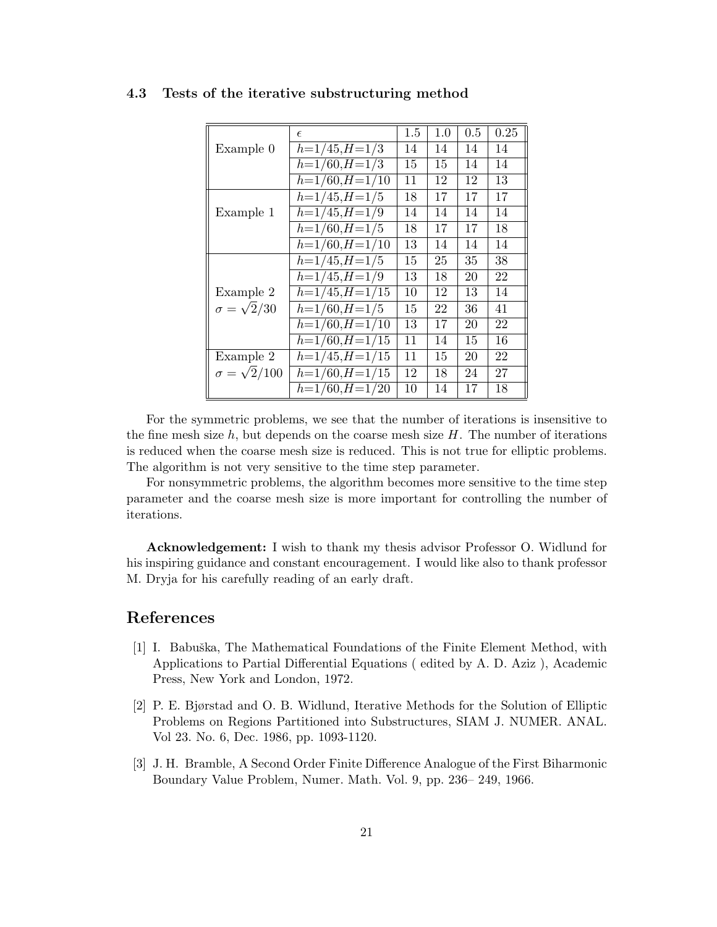|                         | $\epsilon$                  | 1.5 | 1.0 | 0.5 | 0.25 |
|-------------------------|-----------------------------|-----|-----|-----|------|
| Example 0               | $h=1/45, H=1/3$             | 14  | 14  | 14  | 14   |
|                         | $h=1/60, H=1/3$             | 15  | 15  | 14  | 14   |
|                         | $h=1/60, H=1/10$            | 11  | 12  | 12  | 13   |
|                         | $h=1/45, H=1/5$             | 18  | 17  | 17  | 17   |
| Example 1               | $h=1/45, H=1/9$             | 14  | 14  | 14  | 14   |
|                         | $h=1/60, H=1/5$             | 18  | 17  | 17  | 18   |
|                         | $h=1/60, H=1/10$            | 13  | 14  | 14  | 14   |
|                         | $h=1/45, H=1/5$             | 15  | 25  | 35  | 38   |
|                         | $\overline{h=1}/45, H=1/9$  | 13  | 18  | 20  | 22   |
| Example 2               | $h=1/45, H=1/15$            | 10  | 12  | 13  | 14   |
| $\sigma = \sqrt{2}/30$  | $h=1/60, H=1/5$             | 15  | 22  | 36  | 41   |
|                         | $h=1/60, H=1/10$            | 13  | 17  | 20  | 22   |
|                         | $h=1/60, H=1/15$            | 11  | 14  | 15  | 16   |
| Example 2               | $h=1/45, H=1/15$            | 11  | 15  | 20  | 22   |
| $\sigma = \sqrt{2}/100$ | $h=1/60, H=1/15$            | 12  | 18  | 24  | 27   |
|                         | $\overline{h=1}/60, H=1/20$ | 10  | 14  | 17  | 18   |

### 4.3 Tests of the iterative substructuring method

For the symmetric problems, we see that the number of iterations is insensitive to the fine mesh size  $h$ , but depends on the coarse mesh size  $H$ . The number of iterations is reduced when the coarse mesh size is reduced. This is not true for elliptic problems. The algorithm is not very sensitive to the time step parameter.

For nonsymmetric problems, the algorithm becomes more sensitive to the time step parameter and the coarse mesh size is more important for controlling the number of iterations.

Acknowledgement: I wish to thank my thesis advisor Professor O. Widlund for his inspiring guidance and constant encouragement. I would like also to thank professor M. Dryja for his carefully reading of an early draft.

### References

- [1] I. Babuška, The Mathematical Foundations of the Finite Element Method, with Applications to Partial Differential Equations ( edited by A. D. Aziz ), Academic Press, New York and London, 1972.
- [2] P. E. Bjørstad and O. B. Widlund, Iterative Methods for the Solution of Elliptic Problems on Regions Partitioned into Substructures, SIAM J. NUMER. ANAL. Vol 23. No. 6, Dec. 1986, pp. 1093-1120.
- [3] J. H. Bramble, A Second Order Finite Difference Analogue of the First Biharmonic Boundary Value Problem, Numer. Math. Vol. 9, pp. 236– 249, 1966.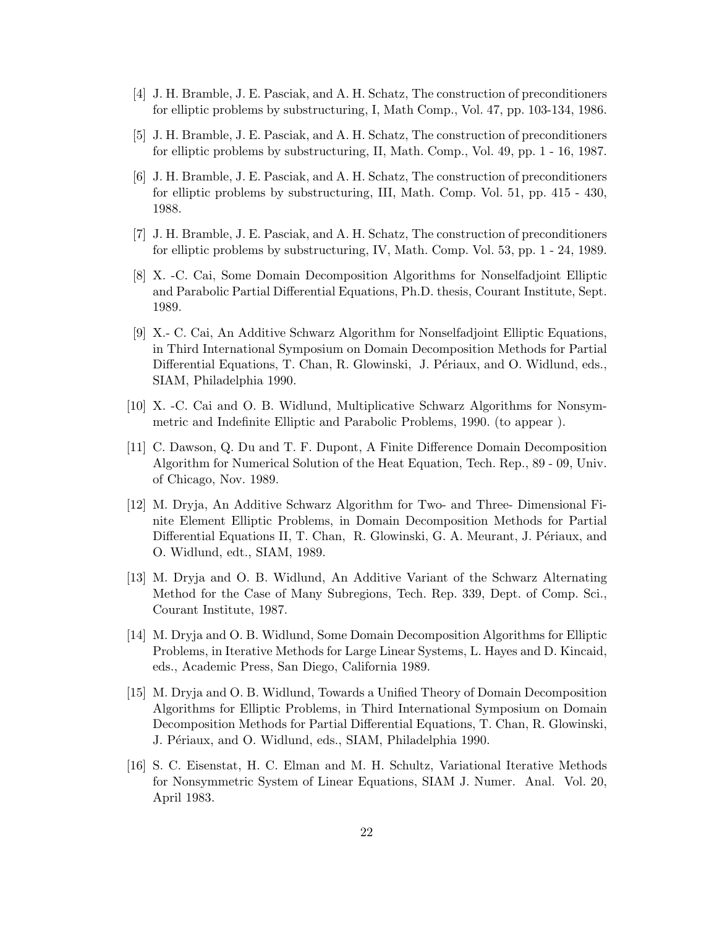- [4] J. H. Bramble, J. E. Pasciak, and A. H. Schatz, The construction of preconditioners for elliptic problems by substructuring, I, Math Comp., Vol. 47, pp. 103-134, 1986.
- [5] J. H. Bramble, J. E. Pasciak, and A. H. Schatz, The construction of preconditioners for elliptic problems by substructuring, II, Math. Comp., Vol. 49, pp. 1 - 16, 1987.
- [6] J. H. Bramble, J. E. Pasciak, and A. H. Schatz, The construction of preconditioners for elliptic problems by substructuring, III, Math. Comp. Vol. 51, pp. 415 - 430, 1988.
- [7] J. H. Bramble, J. E. Pasciak, and A. H. Schatz, The construction of preconditioners for elliptic problems by substructuring, IV, Math. Comp. Vol. 53, pp. 1 - 24, 1989.
- [8] X. -C. Cai, Some Domain Decomposition Algorithms for Nonselfadjoint Elliptic and Parabolic Partial Differential Equations, Ph.D. thesis, Courant Institute, Sept. 1989.
- [9] X.- C. Cai, An Additive Schwarz Algorithm for Nonselfadjoint Elliptic Equations, in Third International Symposium on Domain Decomposition Methods for Partial Differential Equations, T. Chan, R. Glowinski, J. Périaux, and O. Widlund, eds., SIAM, Philadelphia 1990.
- [10] X. -C. Cai and O. B. Widlund, Multiplicative Schwarz Algorithms for Nonsymmetric and Indefinite Elliptic and Parabolic Problems, 1990. (to appear ).
- [11] C. Dawson, Q. Du and T. F. Dupont, A Finite Difference Domain Decomposition Algorithm for Numerical Solution of the Heat Equation, Tech. Rep., 89 - 09, Univ. of Chicago, Nov. 1989.
- [12] M. Dryja, An Additive Schwarz Algorithm for Two- and Three- Dimensional Finite Element Elliptic Problems, in Domain Decomposition Methods for Partial Differential Equations II, T. Chan, R. Glowinski, G. A. Meurant, J. Périaux, and O. Widlund, edt., SIAM, 1989.
- [13] M. Dryja and O. B. Widlund, An Additive Variant of the Schwarz Alternating Method for the Case of Many Subregions, Tech. Rep. 339, Dept. of Comp. Sci., Courant Institute, 1987.
- [14] M. Dryja and O. B. Widlund, Some Domain Decomposition Algorithms for Elliptic Problems, in Iterative Methods for Large Linear Systems, L. Hayes and D. Kincaid, eds., Academic Press, San Diego, California 1989.
- [15] M. Dryja and O. B. Widlund, Towards a Unified Theory of Domain Decomposition Algorithms for Elliptic Problems, in Third International Symposium on Domain Decomposition Methods for Partial Differential Equations, T. Chan, R. Glowinski, J. Périaux, and O. Widlund, eds., SIAM, Philadelphia 1990.
- [16] S. C. Eisenstat, H. C. Elman and M. H. Schultz, Variational Iterative Methods for Nonsymmetric System of Linear Equations, SIAM J. Numer. Anal. Vol. 20, April 1983.